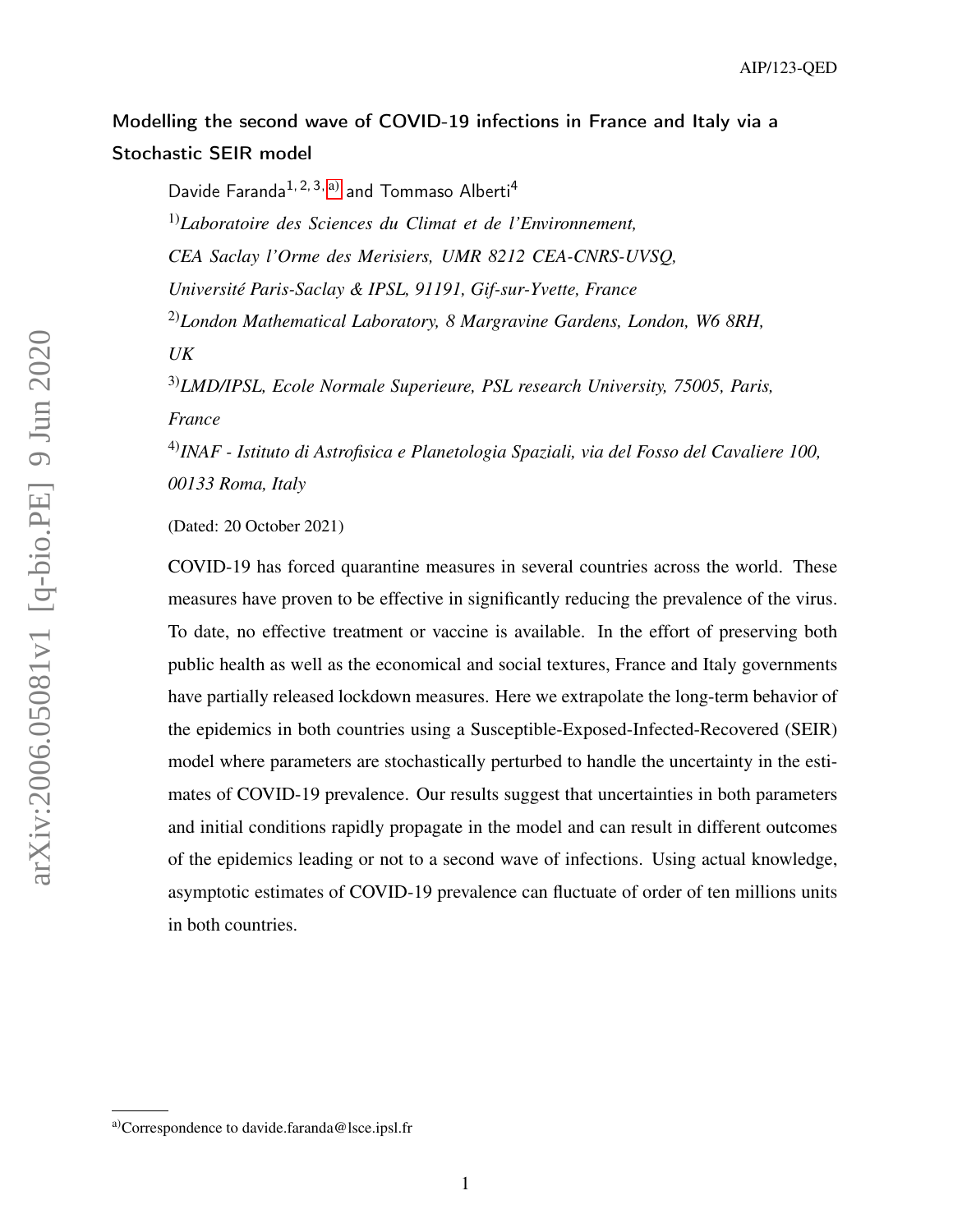# <span id="page-0-1"></span>Modelling the second wave of COVID-19 infections in France and Italy via a Stochastic SEIR model

Davide Faranda<sup>1, 2, 3, [a\)](#page-0-0)</sup> and Tommaso Alberti<sup>4</sup> 1)*Laboratoire des Sciences du Climat et de l'Environnement, CEA Saclay l'Orme des Merisiers, UMR 8212 CEA-CNRS-UVSQ, Université Paris-Saclay & IPSL, 91191, Gif-sur-Yvette, France* 2)*London Mathematical Laboratory, 8 Margravine Gardens, London, W6 8RH, UK* 3)*LMD/IPSL, Ecole Normale Superieure, PSL research University, 75005, Paris, France*

4)*INAF - Istituto di Astrofisica e Planetologia Spaziali, via del Fosso del Cavaliere 100, 00133 Roma, Italy*

(Dated: 20 October 2021)

COVID-19 has forced quarantine measures in several countries across the world. These measures have proven to be effective in significantly reducing the prevalence of the virus. To date, no effective treatment or vaccine is available. In the effort of preserving both public health as well as the economical and social textures, France and Italy governments have partially released lockdown measures. Here we extrapolate the long-term behavior of the epidemics in both countries using a Susceptible-Exposed-Infected-Recovered (SEIR) model where parameters are stochastically perturbed to handle the uncertainty in the estimates of COVID-19 prevalence. Our results suggest that uncertainties in both parameters and initial conditions rapidly propagate in the model and can result in different outcomes of the epidemics leading or not to a second wave of infections. Using actual knowledge, asymptotic estimates of COVID-19 prevalence can fluctuate of order of ten millions units in both countries.

<span id="page-0-0"></span>a)Correspondence to davide.faranda@lsce.ipsl.fr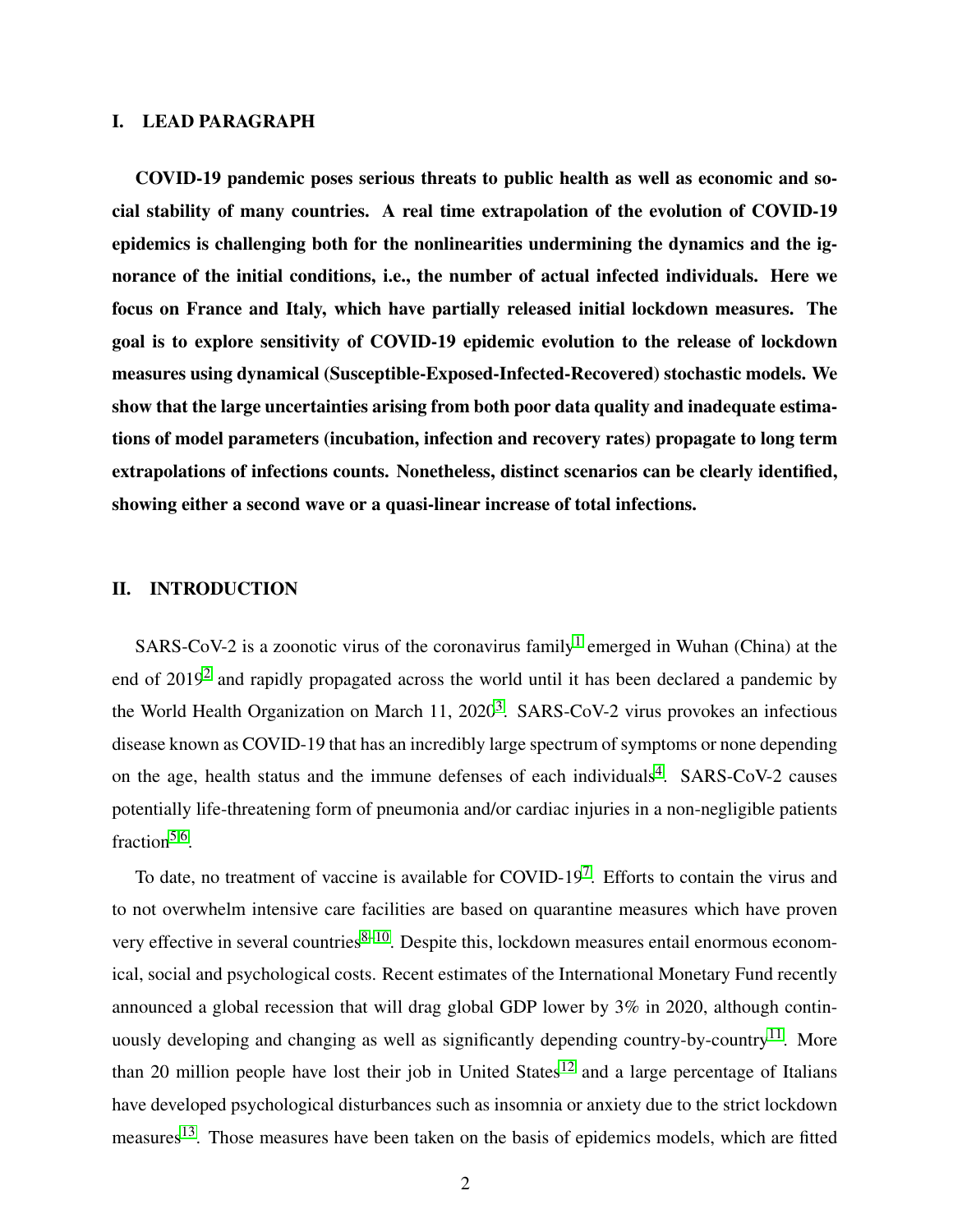# I. LEAD PARAGRAPH

COVID-19 pandemic poses serious threats to public health as well as economic and social stability of many countries. A real time extrapolation of the evolution of COVID-19 epidemics is challenging both for the nonlinearities undermining the dynamics and the ignorance of the initial conditions, i.e., the number of actual infected individuals. Here we focus on France and Italy, which have partially released initial lockdown measures. The goal is to explore sensitivity of COVID-19 epidemic evolution to the release of lockdown measures using dynamical (Susceptible-Exposed-Infected-Recovered) stochastic models. We show that the large uncertainties arising from both poor data quality and inadequate estimations of model parameters (incubation, infection and recovery rates) propagate to long term extrapolations of infections counts. Nonetheless, distinct scenarios can be clearly identified, showing either a second wave or a quasi-linear increase of total infections.

#### II. INTRODUCTION

SARS-CoV-2 is a zoonotic virus of the coronavirus family<sup>[1](#page-14-0)</sup> emerged in Wuhan (China) at the end of [2](#page-14-1)019<sup>2</sup> and rapidly propagated across the world until it has been declared a pandemic by the World Health Organization on March 11, 2020<sup>[3](#page-14-2)</sup>. SARS-CoV-2 virus provokes an infectious disease known as COVID-19 that has an incredibly large spectrum of symptoms or none depending on the age, health status and the immune defenses of each individuals<sup>[4](#page-14-3)</sup>. SARS-CoV-2 causes potentially life-threatening form of pneumonia and/or cardiac injuries in a non-negligible patients fraction<sup>[5,](#page-14-4)[6](#page-14-5)</sup>.

To date, no treatment of vaccine is available for  $\text{COVID-19}^7$  $\text{COVID-19}^7$ . Efforts to contain the virus and to not overwhelm intensive care facilities are based on quarantine measures which have proven very effective in several countries $8-10$  $8-10$ . Despite this, lockdown measures entail enormous economical, social and psychological costs. Recent estimates of the International Monetary Fund recently announced a global recession that will drag global GDP lower by 3% in 2020, although contin-uously developing and changing as well as significantly depending country-by-country<sup>[11](#page-15-1)</sup>. More than 20 million people have lost their job in United States<sup>[12](#page-15-2)</sup> and a large percentage of Italians have developed psychological disturbances such as insomnia or anxiety due to the strict lockdown measures<sup>[13](#page-15-3)</sup>. Those measures have been taken on the basis of epidemics models, which are fitted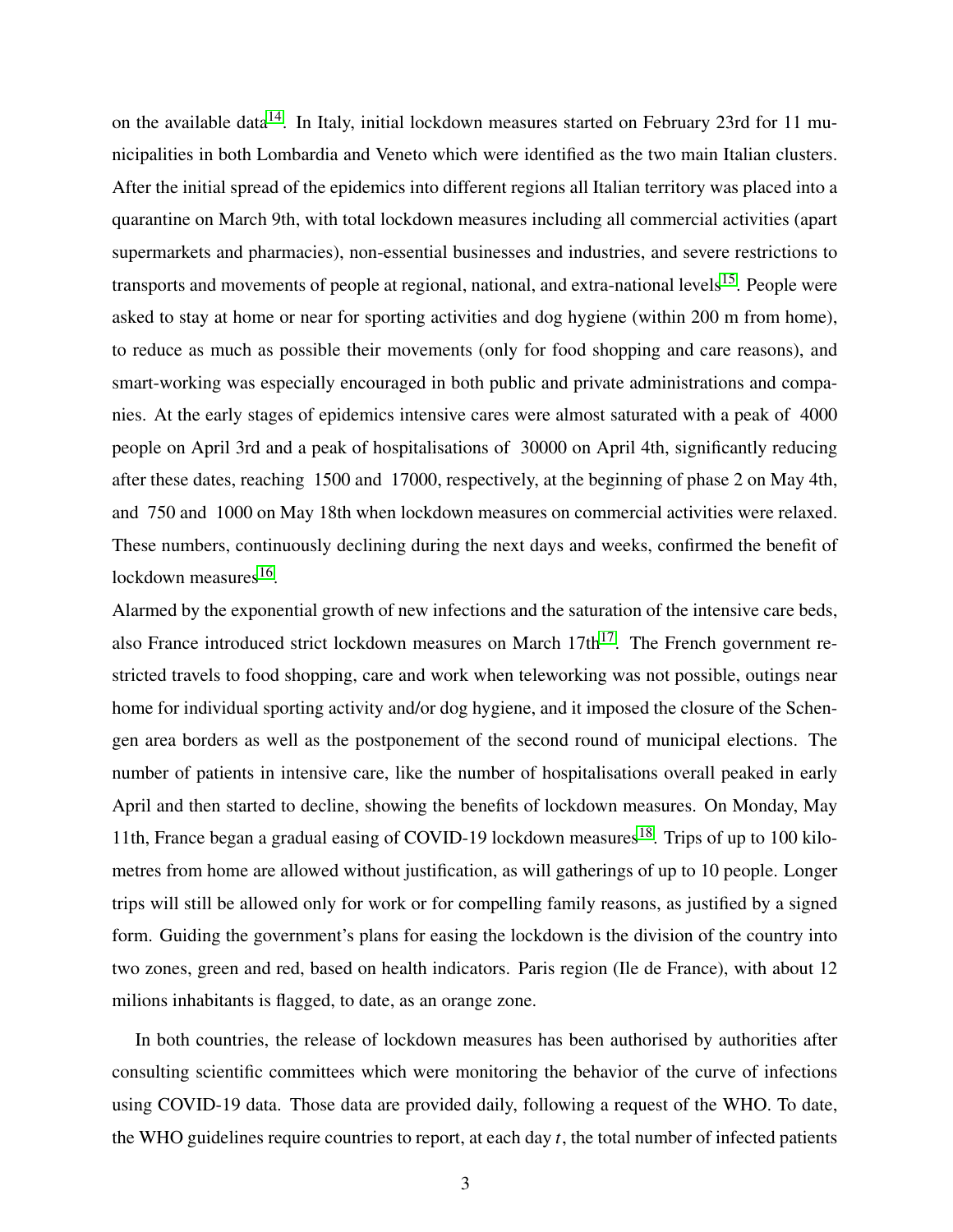on the available data<sup>[14](#page-15-4)</sup>. In Italy, initial lockdown measures started on February 23rd for 11 municipalities in both Lombardia and Veneto which were identified as the two main Italian clusters. After the initial spread of the epidemics into different regions all Italian territory was placed into a quarantine on March 9th, with total lockdown measures including all commercial activities (apart supermarkets and pharmacies), non-essential businesses and industries, and severe restrictions to transports and movements of people at regional, national, and extra-national levels<sup>[15](#page-15-5)</sup>. People were asked to stay at home or near for sporting activities and dog hygiene (within 200 m from home), to reduce as much as possible their movements (only for food shopping and care reasons), and smart-working was especially encouraged in both public and private administrations and companies. At the early stages of epidemics intensive cares were almost saturated with a peak of 4000 people on April 3rd and a peak of hospitalisations of 30000 on April 4th, significantly reducing after these dates, reaching 1500 and 17000, respectively, at the beginning of phase 2 on May 4th, and 750 and 1000 on May 18th when lockdown measures on commercial activities were relaxed. These numbers, continuously declining during the next days and weeks, confirmed the benefit of lockdown measures<sup>[16](#page-15-6)</sup>.

Alarmed by the exponential growth of new infections and the saturation of the intensive care beds, also France introduced strict lockdown measures on March  $17th^{17}$  $17th^{17}$ . The French government restricted travels to food shopping, care and work when teleworking was not possible, outings near home for individual sporting activity and/or dog hygiene, and it imposed the closure of the Schengen area borders as well as the postponement of the second round of municipal elections. The number of patients in intensive care, like the number of hospitalisations overall peaked in early April and then started to decline, showing the benefits of lockdown measures. On Monday, May 11th, France began a gradual easing of COVID-19 lockdown measures<sup>[18](#page-15-8)</sup>. Trips of up to 100 kilometres from home are allowed without justification, as will gatherings of up to 10 people. Longer trips will still be allowed only for work or for compelling family reasons, as justified by a signed form. Guiding the government's plans for easing the lockdown is the division of the country into two zones, green and red, based on health indicators. Paris region (Ile de France), with about 12 milions inhabitants is flagged, to date, as an orange zone.

In both countries, the release of lockdown measures has been authorised by authorities after consulting scientific committees which were monitoring the behavior of the curve of infections using COVID-19 data. Those data are provided daily, following a request of the WHO. To date, the WHO guidelines require countries to report, at each day *t*, the total number of infected patients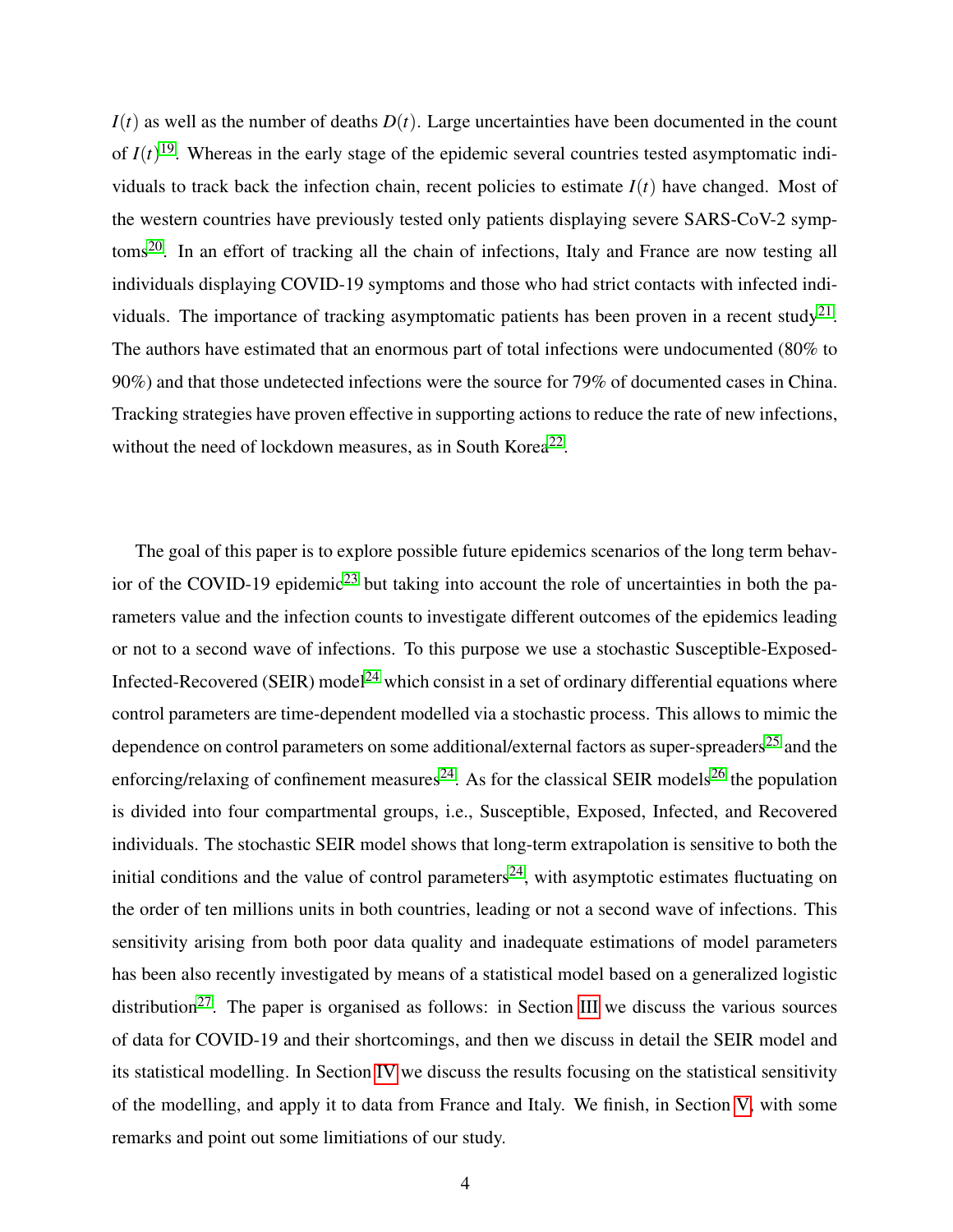$I(t)$  as well as the number of deaths  $D(t)$ . Large uncertainties have been documented in the count of  $I(t)$ <sup>[19](#page-15-9)</sup>. Whereas in the early stage of the epidemic several countries tested asymptomatic individuals to track back the infection chain, recent policies to estimate  $I(t)$  have changed. Most of the western countries have previously tested only patients displaying severe SARS-CoV-2 symptoms[20](#page-16-0). In an effort of tracking all the chain of infections, Italy and France are now testing all individuals displaying COVID-19 symptoms and those who had strict contacts with infected indi-viduals. The importance of tracking asymptomatic patients has been proven in a recent study<sup>[21](#page-16-1)</sup>. The authors have estimated that an enormous part of total infections were undocumented (80% to 90%) and that those undetected infections were the source for 79% of documented cases in China. Tracking strategies have proven effective in supporting actions to reduce the rate of new infections, without the need of lockdown measures, as in South Korea<sup>[22](#page-16-2)</sup>.

The goal of this paper is to explore possible future epidemics scenarios of the long term behav-ior of the COVID-19 epidemic<sup>[23](#page-16-3)</sup> but taking into account the role of uncertainties in both the parameters value and the infection counts to investigate different outcomes of the epidemics leading or not to a second wave of infections. To this purpose we use a stochastic Susceptible-Exposed-Infected-Recovered (SEIR) model<sup>[24](#page-16-4)</sup> which consist in a set of ordinary differential equations where control parameters are time-dependent modelled via a stochastic process. This allows to mimic the dependence on control parameters on some additional/external factors as super-spreaders<sup>[25](#page-16-5)</sup> and the enforcing/relaxing of confinement measures<sup>[24](#page-16-4)</sup>. As for the classical SEIR models<sup>[26](#page-16-6)</sup> the population is divided into four compartmental groups, i.e., Susceptible, Exposed, Infected, and Recovered individuals. The stochastic SEIR model shows that long-term extrapolation is sensitive to both the initial conditions and the value of control parameters<sup>[24](#page-16-4)</sup>, with asymptotic estimates fluctuating on the order of ten millions units in both countries, leading or not a second wave of infections. This sensitivity arising from both poor data quality and inadequate estimations of model parameters has been also recently investigated by means of a statistical model based on a generalized logistic distribution<sup>[27](#page-16-7)</sup>. The paper is organised as follows: in Section [III](#page-4-0) we discuss the various sources of data for COVID-19 and their shortcomings, and then we discuss in detail the SEIR model and its statistical modelling. In Section [IV](#page-6-0) we discuss the results focusing on the statistical sensitivity of the modelling, and apply it to data from France and Italy. We finish, in Section [V,](#page-9-0) with some remarks and point out some limitiations of our study.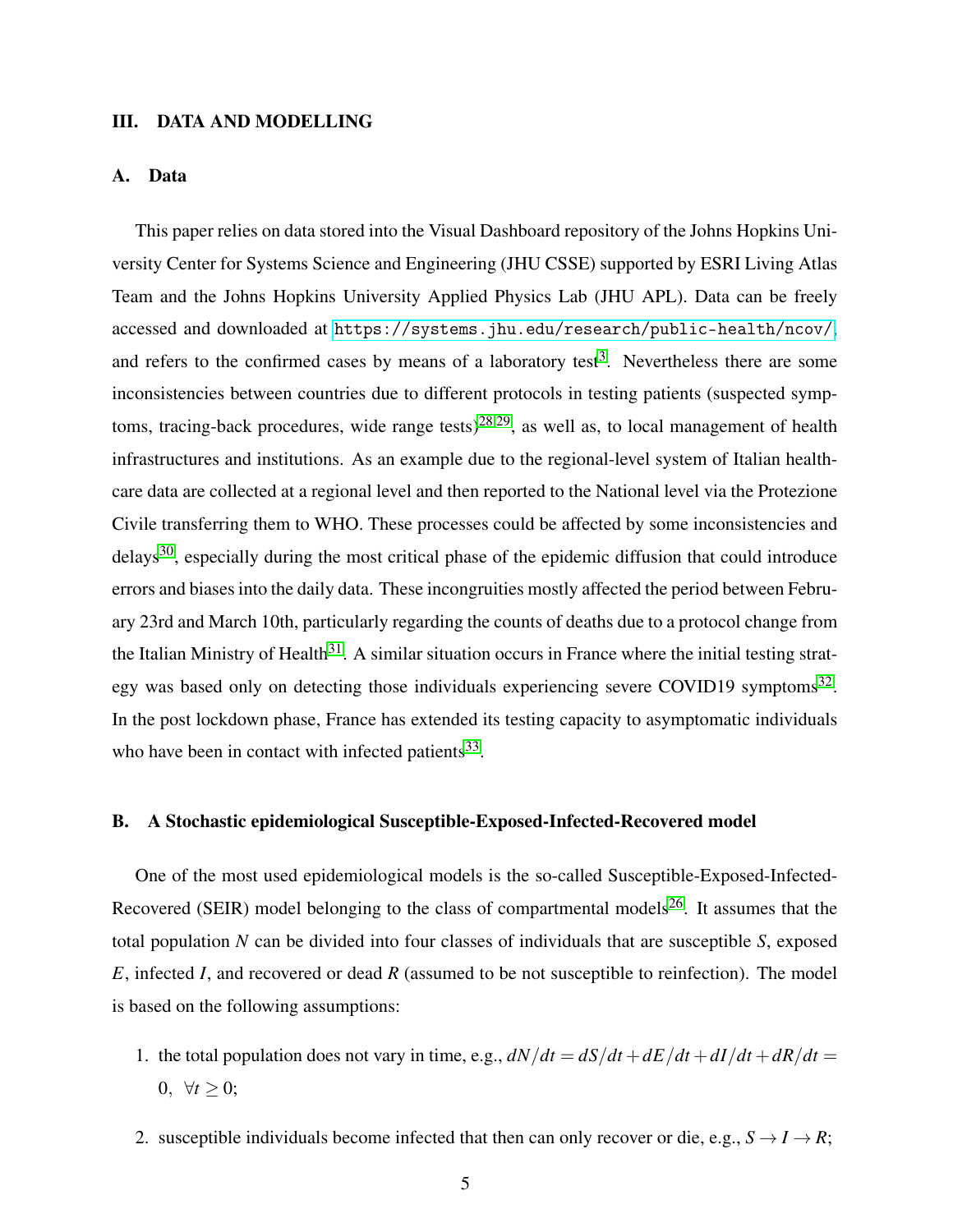#### <span id="page-4-0"></span>III. DATA AND MODELLING

#### A. Data

This paper relies on data stored into the Visual Dashboard repository of the Johns Hopkins University Center for Systems Science and Engineering (JHU CSSE) supported by ESRI Living Atlas Team and the Johns Hopkins University Applied Physics Lab (JHU APL). Data can be freely accessed and downloaded at <https://systems.jhu.edu/research/public-health/ncov/>, and refers to the confirmed cases by means of a laboratory test<sup>[3](#page-14-2)</sup>. Nevertheless there are some inconsistencies between countries due to different protocols in testing patients (suspected symp-toms, tracing-back procedures, wide range tests)<sup>[28,](#page-16-8)[29](#page-16-9)</sup>, as well as, to local management of health infrastructures and institutions. As an example due to the regional-level system of Italian healthcare data are collected at a regional level and then reported to the National level via the Protezione Civile transferring them to WHO. These processes could be affected by some inconsistencies and delays<sup>[30](#page-16-10)</sup>, especially during the most critical phase of the epidemic diffusion that could introduce errors and biases into the daily data. These incongruities mostly affected the period between February 23rd and March 10th, particularly regarding the counts of deaths due to a protocol change from the Italian Ministry of Health<sup>[31](#page-16-11)</sup>. A similar situation occurs in France where the initial testing strat-egy was based only on detecting those individuals experiencing severe COVID19 symptoms<sup>[32](#page-16-12)</sup>. In the post lockdown phase, France has extended its testing capacity to asymptomatic individuals who have been in contact with infected patients $^{33}$  $^{33}$  $^{33}$ .

## B. A Stochastic epidemiological Susceptible-Exposed-Infected-Recovered model

One of the most used epidemiological models is the so-called Susceptible-Exposed-Infected-Recovered (SEIR) model belonging to the class of compartmental models<sup>[26](#page-16-6)</sup>. It assumes that the total population *N* can be divided into four classes of individuals that are susceptible *S*, exposed *E*, infected *I*, and recovered or dead *R* (assumed to be not susceptible to reinfection). The model is based on the following assumptions:

- 1. the total population does not vary in time, e.g.,  $dN/dt = dS/dt + dE/dt + dI/dt + dR/dt$ 0,  $\forall t > 0$ ;
- 2. susceptible individuals become infected that then can only recover or die, e.g.,  $S \rightarrow I \rightarrow R$ ;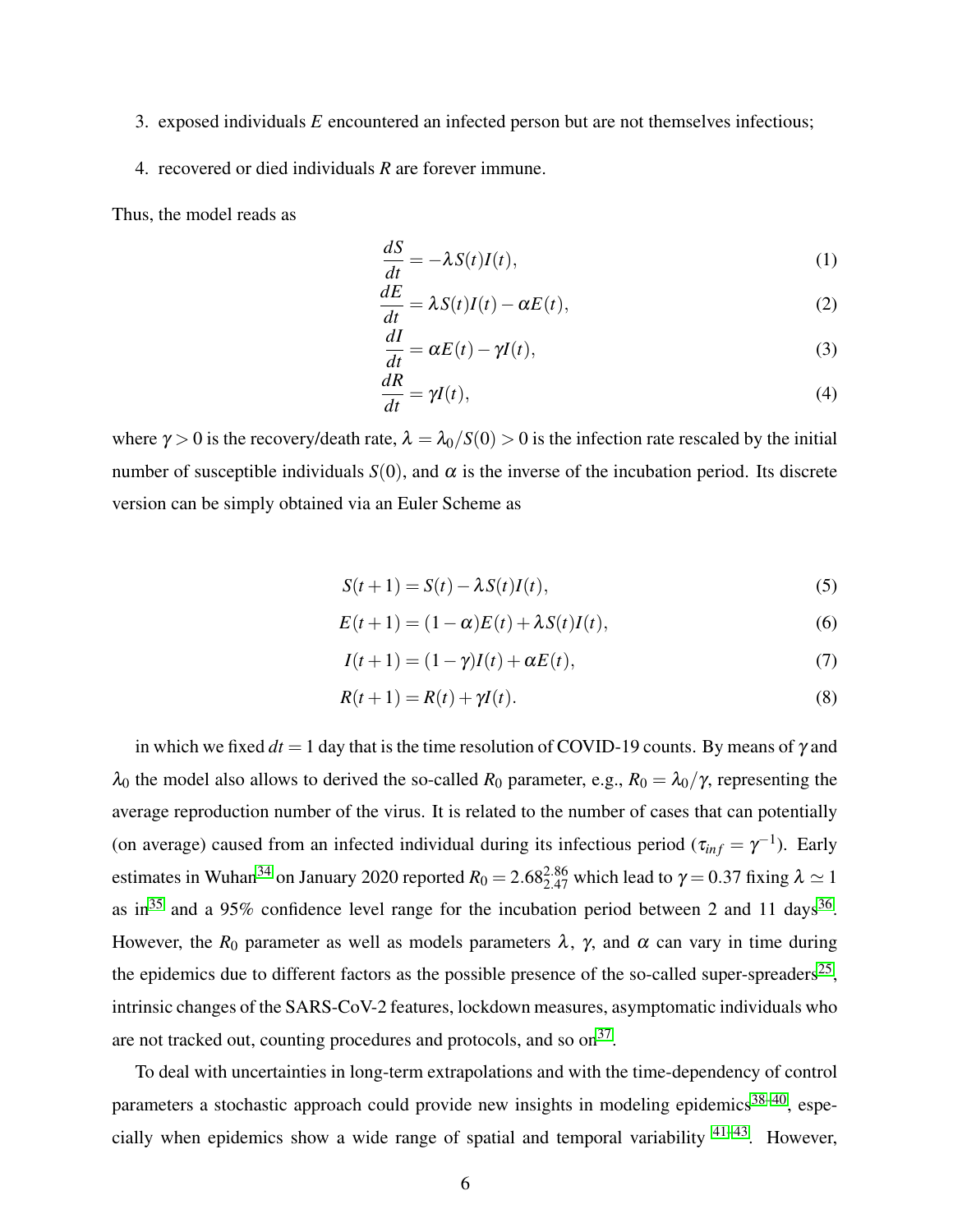- 3. exposed individuals *E* encountered an infected person but are not themselves infectious;
- 4. recovered or died individuals *R* are forever immune.

Thus, the model reads as

$$
\frac{dS}{dt} = -\lambda S(t)I(t),\tag{1}
$$

$$
\frac{dE}{dt} = \lambda S(t)I(t) - \alpha E(t),\tag{2}
$$

$$
\frac{dI}{dt} = \alpha E(t) - \gamma I(t),\tag{3}
$$

$$
\frac{dR}{dt} = \gamma I(t),\tag{4}
$$

where  $\gamma > 0$  is the recovery/death rate,  $\lambda = \lambda_0/S(0) > 0$  is the infection rate rescaled by the initial number of susceptible individuals  $S(0)$ , and  $\alpha$  is the inverse of the incubation period. Its discrete version can be simply obtained via an Euler Scheme as

<span id="page-5-0"></span>
$$
S(t+1) = S(t) - \lambda S(t)I(t),\tag{5}
$$

$$
E(t+1) = (1 - \alpha)E(t) + \lambda S(t)I(t),
$$
\n(6)

$$
I(t+1) = (1 - \gamma)I(t) + \alpha E(t),\tag{7}
$$

$$
R(t+1) = R(t) + \gamma I(t). \tag{8}
$$

in which we fixed  $dt = 1$  day that is the time resolution of COVID-19 counts. By means of  $\gamma$  and  $λ_0$  the model also allows to derived the so-called *R*<sub>0</sub> parameter, e.g., *R*<sub>0</sub> =  $λ_0/γ$ , representing the average reproduction number of the virus. It is related to the number of cases that can potentially (on average) caused from an infected individual during its infectious period ( $\tau_{inf} = \gamma^{-1}$ ). Early estimates in Wuhan<sup>[34](#page-16-14)</sup> on January 2020 reported  $R_0 = 2.68_{2.47}^{2.86}$  which lead to  $\gamma = 0.37$  fixing  $\lambda \simeq 1$ as in<sup>[35](#page-17-0)</sup> and a 95% confidence level range for the incubation period between 2 and 11 days<sup>[36](#page-17-1)</sup>. However, the  $R_0$  parameter as well as models parameters  $\lambda$ ,  $\gamma$ , and  $\alpha$  can vary in time during the epidemics due to different factors as the possible presence of the so-called super-spreaders<sup>[25](#page-16-5)</sup>, intrinsic changes of the SARS-CoV-2 features, lockdown measures, asymptomatic individuals who are not tracked out, counting procedures and protocols, and so  $on<sup>37</sup>$  $on<sup>37</sup>$  $on<sup>37</sup>$ .

To deal with uncertainties in long-term extrapolations and with the time-dependency of control parameters a stochastic approach could provide new insights in modeling epidemics<sup>[38](#page-17-3)-40</sup>, especially when epidemics show a wide range of spatial and temporal variability [41–](#page-17-5)[43](#page-17-6). However,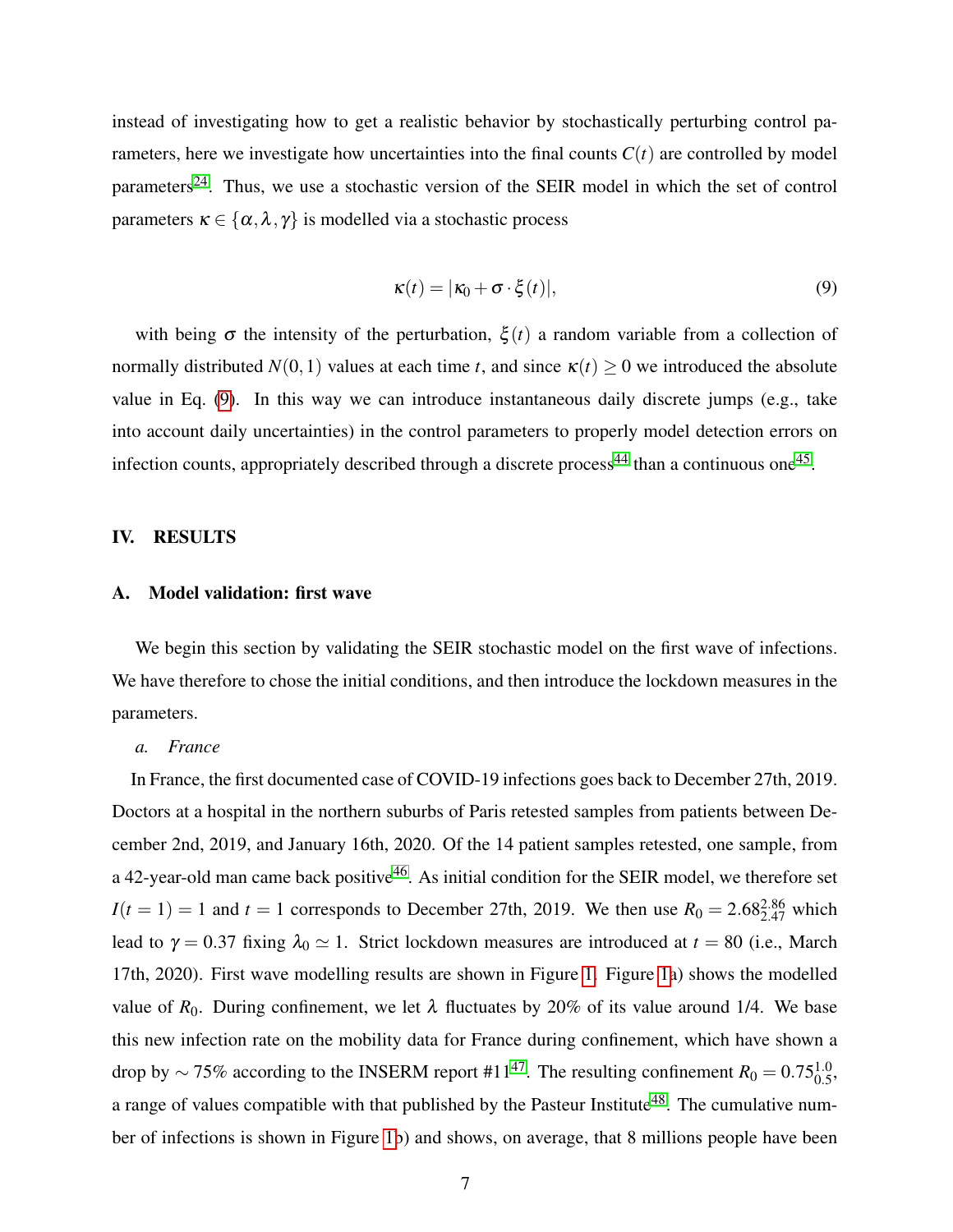instead of investigating how to get a realistic behavior by stochastically perturbing control parameters, here we investigate how uncertainties into the final counts  $C(t)$  are controlled by model parameters<sup>[24](#page-16-4)</sup>. Thus, we use a stochastic version of the SEIR model in which the set of control parameters  $\kappa \in \{\alpha, \lambda, \gamma\}$  is modelled via a stochastic process

<span id="page-6-1"></span>
$$
\kappa(t) = |\kappa_0 + \sigma \cdot \xi(t)|,\tag{9}
$$

with being  $\sigma$  the intensity of the perturbation,  $\xi(t)$  a random variable from a collection of normally distributed  $N(0,1)$  values at each time *t*, and since  $\kappa(t) \ge 0$  we introduced the absolute value in Eq. [\(9\)](#page-6-1). In this way we can introduce instantaneous daily discrete jumps (e.g., take into account daily uncertainties) in the control parameters to properly model detection errors on infection counts, appropriately described through a discrete process<sup>[44](#page-17-7)</sup> than a continuous one<sup>[45](#page-17-8)</sup>.

### <span id="page-6-0"></span>IV. RESULTS

## A. Model validation: first wave

We begin this section by validating the SEIR stochastic model on the first wave of infections. We have therefore to chose the initial conditions, and then introduce the lockdown measures in the parameters.

#### *a. France*

In France, the first documented case of COVID-19 infections goes back to December 27th, 2019. Doctors at a hospital in the northern suburbs of Paris retested samples from patients between December 2nd, 2019, and January 16th, 2020. Of the 14 patient samples retested, one sample, from a 42-year-old man came back positive<sup>[46](#page-18-0)</sup>. As initial condition for the SEIR model, we therefore set  $I(t = 1) = 1$  and  $t = 1$  corresponds to December 27th, 2019. We then use  $R_0 = 2.68_{2.47}^{2.86}$  which lead to  $\gamma = 0.37$  fixing  $\lambda_0 \simeq 1$ . Strict lockdown measures are introduced at  $t = 80$  (i.e., March 17th, 2020). First wave modelling results are shown in Figure [1.](#page-19-0) Figure [1a](#page-19-0)) shows the modelled value of  $R_0$ . During confinement, we let  $\lambda$  fluctuates by 20% of its value around 1/4. We base this new infection rate on the mobility data for France during confinement, which have shown a drop by  $\sim$  75% according to the INSERM report #11<sup>[47](#page-18-1)</sup>. The resulting confinement  $R_0 = 0.75_{0.5}^{1.0}$ , a range of values compatible with that published by the Pasteur Institute<sup>[48](#page-18-2)</sup>. The cumulative number of infections is shown in Figure [1b](#page-19-0)) and shows, on average, that 8 millions people have been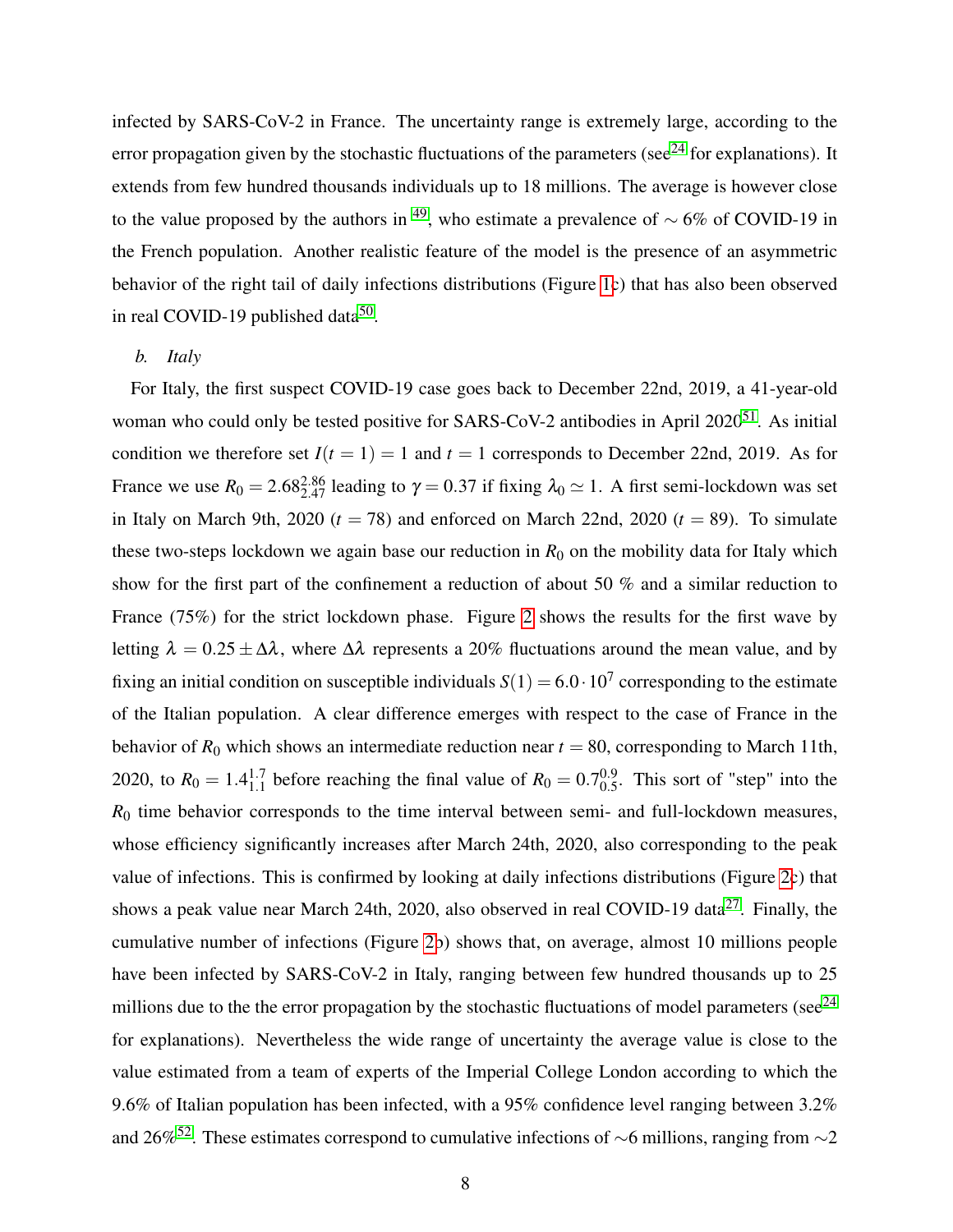infected by SARS-CoV-2 in France. The uncertainty range is extremely large, according to the error propagation given by the stochastic fluctuations of the parameters (see<sup>[24](#page-16-4)</sup> for explanations). It extends from few hundred thousands individuals up to 18 millions. The average is however close to the value proposed by the authors in <sup>[49](#page-18-3)</sup>, who estimate a prevalence of  $\sim$  6% of COVID-19 in the French population. Another realistic feature of the model is the presence of an asymmetric behavior of the right tail of daily infections distributions (Figure [1c](#page-19-0)) that has also been observed in real COVID-19 published data<sup>[50](#page-18-4)</sup>.

#### *b. Italy*

For Italy, the first suspect COVID-19 case goes back to December 22nd, 2019, a 41-year-old woman who could only be tested positive for SARS-CoV-2 antibodies in April  $2020^{51}$  $2020^{51}$  $2020^{51}$ . As initial condition we therefore set  $I(t = 1) = 1$  and  $t = 1$  corresponds to December 22nd, 2019. As for France we use  $R_0 = 2.68_{2.47}^{2.86}$  leading to  $\gamma = 0.37$  if fixing  $\lambda_0 \simeq 1$ . A first semi-lockdown was set in Italy on March 9th, 2020  $(t = 78)$  and enforced on March 22nd, 2020  $(t = 89)$ . To simulate these two-steps lockdown we again base our reduction in  $R_0$  on the mobility data for Italy which show for the first part of the confinement a reduction of about 50 % and a similar reduction to France (75%) for the strict lockdown phase. Figure [2](#page-20-0) shows the results for the first wave by letting  $\lambda = 0.25 \pm \Delta\lambda$ , where  $\Delta\lambda$  represents a 20% fluctuations around the mean value, and by fixing an initial condition on susceptible individuals  $S(1) = 6.0 \cdot 10^7$  corresponding to the estimate of the Italian population. A clear difference emerges with respect to the case of France in the behavior of  $R_0$  which shows an intermediate reduction near  $t = 80$ , corresponding to March 11th, 2020, to  $R_0 = 1.4_{1.1}^{1.7}$  before reaching the final value of  $R_0 = 0.7_{0.5}^{0.9}$  $_{0.5}^{0.9}$ . This sort of "step" into the *R*<sup>0</sup> time behavior corresponds to the time interval between semi- and full-lockdown measures, whose efficiency significantly increases after March 24th, 2020, also corresponding to the peak value of infections. This is confirmed by looking at daily infections distributions (Figure [2c](#page-20-0)) that shows a peak value near March 24th, 2020, also observed in real COVID-19 data<sup>[27](#page-16-7)</sup>. Finally, the cumulative number of infections (Figure [2b](#page-20-0)) shows that, on average, almost 10 millions people have been infected by SARS-CoV-2 in Italy, ranging between few hundred thousands up to 25 millions due to the the error propagation by the stochastic fluctuations of model parameters (see $^{24}$  $^{24}$  $^{24}$ ) for explanations). Nevertheless the wide range of uncertainty the average value is close to the value estimated from a team of experts of the Imperial College London according to which the 9.6% of Italian population has been infected, with a 95% confidence level ranging between 3.2% and 26%<sup>[52](#page-18-6)</sup>. These estimates correspond to cumulative infections of ∼6 millions, ranging from ∼2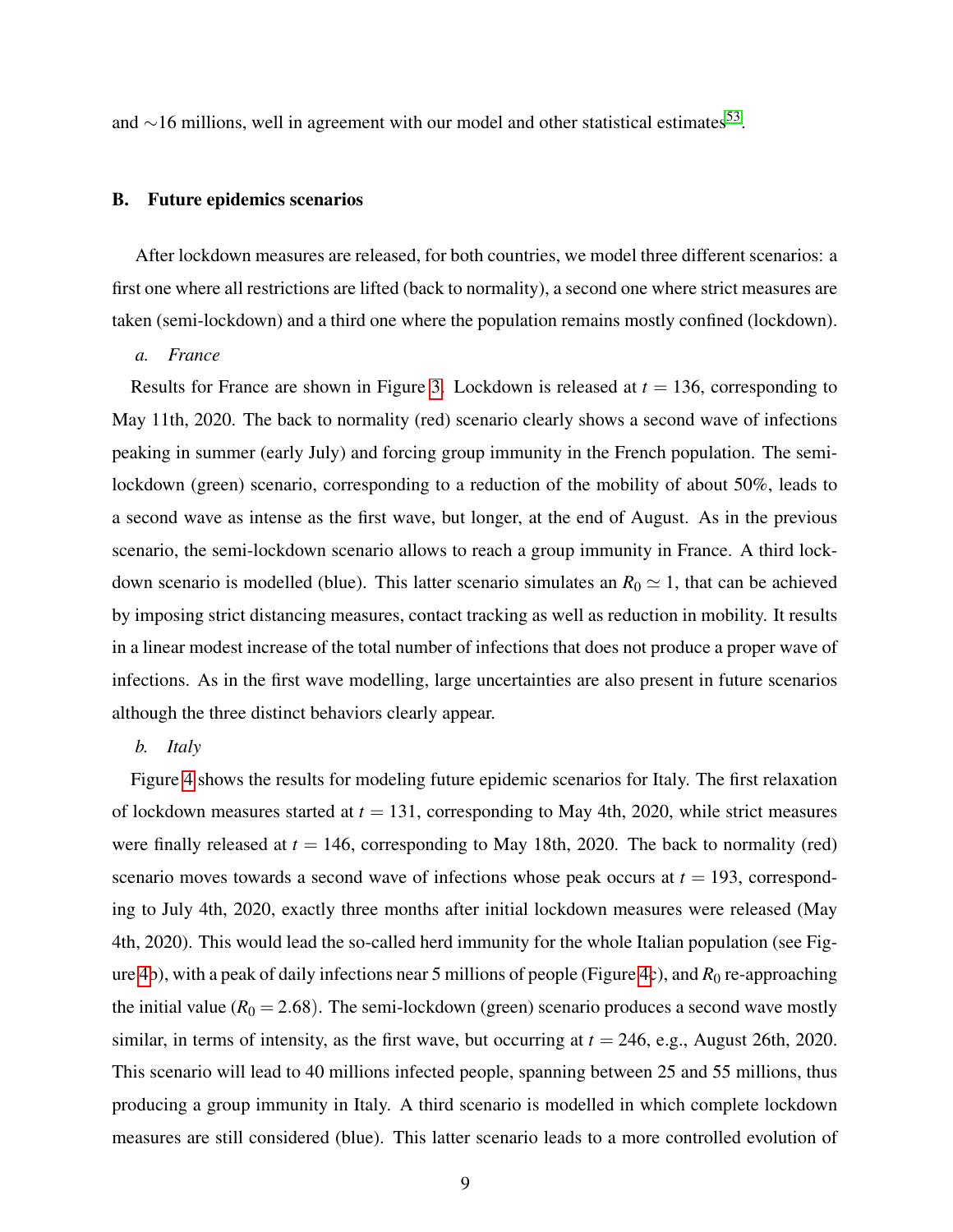and  $\sim$ 16 millions, well in agreement with our model and other statistical estimates<sup>[53](#page-18-7)</sup>.

#### B. Future epidemics scenarios

After lockdown measures are released, for both countries, we model three different scenarios: a first one where all restrictions are lifted (back to normality), a second one where strict measures are taken (semi-lockdown) and a third one where the population remains mostly confined (lockdown).

*a. France*

Results for France are shown in Figure [3.](#page-21-0) Lockdown is released at  $t = 136$ , corresponding to May 11th, 2020. The back to normality (red) scenario clearly shows a second wave of infections peaking in summer (early July) and forcing group immunity in the French population. The semilockdown (green) scenario, corresponding to a reduction of the mobility of about 50%, leads to a second wave as intense as the first wave, but longer, at the end of August. As in the previous scenario, the semi-lockdown scenario allows to reach a group immunity in France. A third lockdown scenario is modelled (blue). This latter scenario simulates an  $R_0 \simeq 1$ , that can be achieved by imposing strict distancing measures, contact tracking as well as reduction in mobility. It results in a linear modest increase of the total number of infections that does not produce a proper wave of infections. As in the first wave modelling, large uncertainties are also present in future scenarios although the three distinct behaviors clearly appear.

#### *b. Italy*

Figure [4](#page-22-0) shows the results for modeling future epidemic scenarios for Italy. The first relaxation of lockdown measures started at *t* = 131, corresponding to May 4th, 2020, while strict measures were finally released at  $t = 146$ , corresponding to May 18th, 2020. The back to normality (red) scenario moves towards a second wave of infections whose peak occurs at  $t = 193$ , corresponding to July 4th, 2020, exactly three months after initial lockdown measures were released (May 4th, 2020). This would lead the so-called herd immunity for the whole Italian population (see Figure [4b](#page-22-0)), with a peak of daily infections near 5 millions of people (Figure [4c](#page-22-0)), and *R*<sup>0</sup> re-approaching the initial value  $(R_0 = 2.68)$ . The semi-lockdown (green) scenario produces a second wave mostly similar, in terms of intensity, as the first wave, but occurring at  $t = 246$ , e.g., August 26th, 2020. This scenario will lead to 40 millions infected people, spanning between 25 and 55 millions, thus producing a group immunity in Italy. A third scenario is modelled in which complete lockdown measures are still considered (blue). This latter scenario leads to a more controlled evolution of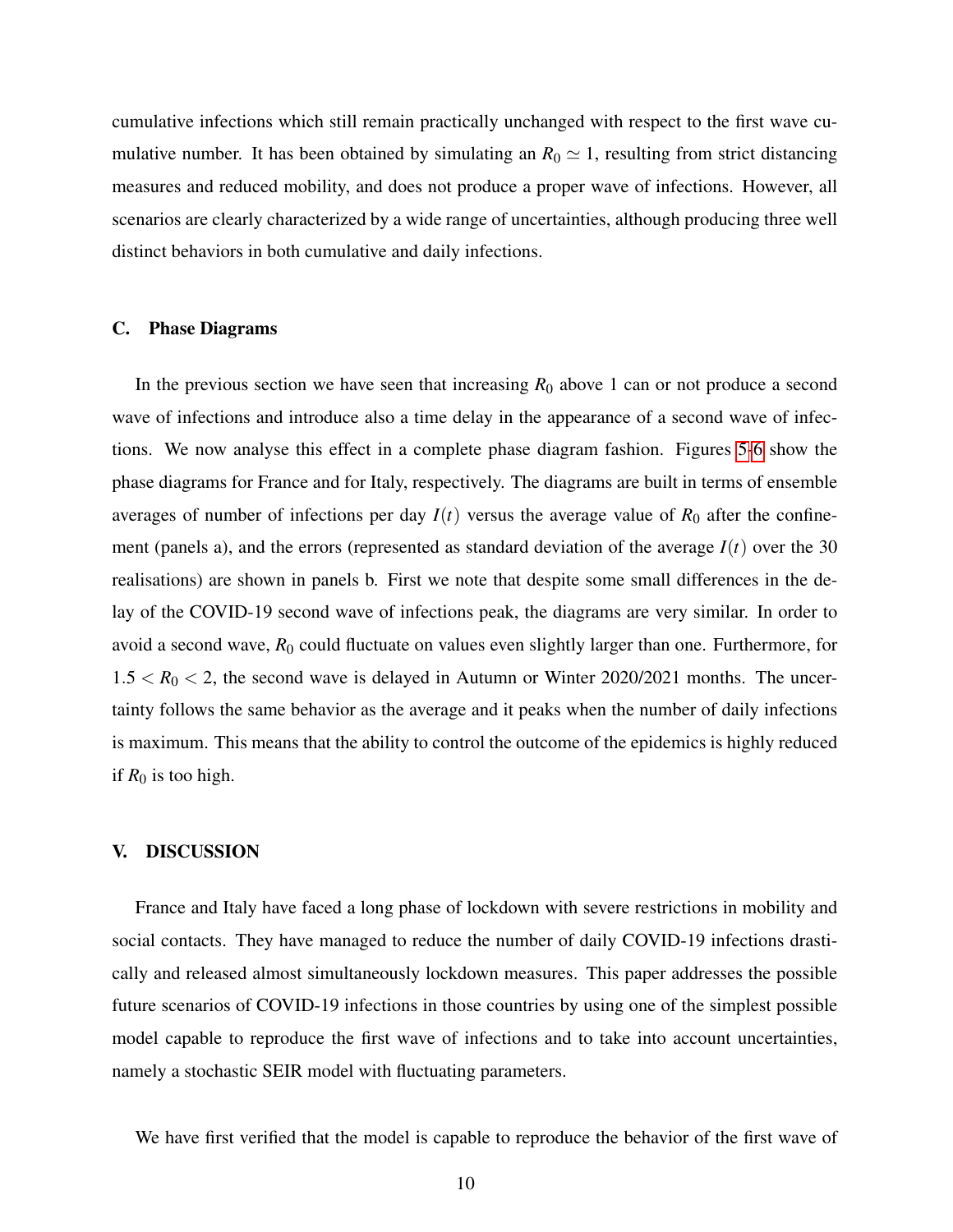cumulative infections which still remain practically unchanged with respect to the first wave cumulative number. It has been obtained by simulating an  $R_0 \simeq 1$ , resulting from strict distancing measures and reduced mobility, and does not produce a proper wave of infections. However, all scenarios are clearly characterized by a wide range of uncertainties, although producing three well distinct behaviors in both cumulative and daily infections.

#### C. Phase Diagrams

In the previous section we have seen that increasing  $R_0$  above 1 can or not produce a second wave of infections and introduce also a time delay in the appearance of a second wave of infections. We now analyse this effect in a complete phase diagram fashion. Figures [5](#page-23-0)[-6](#page-24-0) show the phase diagrams for France and for Italy, respectively. The diagrams are built in terms of ensemble averages of number of infections per day  $I(t)$  versus the average value of  $R_0$  after the confinement (panels a), and the errors (represented as standard deviation of the average  $I(t)$  over the 30 realisations) are shown in panels b. First we note that despite some small differences in the delay of the COVID-19 second wave of infections peak, the diagrams are very similar. In order to avoid a second wave,  $R_0$  could fluctuate on values even slightly larger than one. Furthermore, for  $1.5 < R_0 < 2$ , the second wave is delayed in Autumn or Winter 2020/2021 months. The uncertainty follows the same behavior as the average and it peaks when the number of daily infections is maximum. This means that the ability to control the outcome of the epidemics is highly reduced if  $R_0$  is too high.

#### <span id="page-9-0"></span>V. DISCUSSION

France and Italy have faced a long phase of lockdown with severe restrictions in mobility and social contacts. They have managed to reduce the number of daily COVID-19 infections drastically and released almost simultaneously lockdown measures. This paper addresses the possible future scenarios of COVID-19 infections in those countries by using one of the simplest possible model capable to reproduce the first wave of infections and to take into account uncertainties, namely a stochastic SEIR model with fluctuating parameters.

We have first verified that the model is capable to reproduce the behavior of the first wave of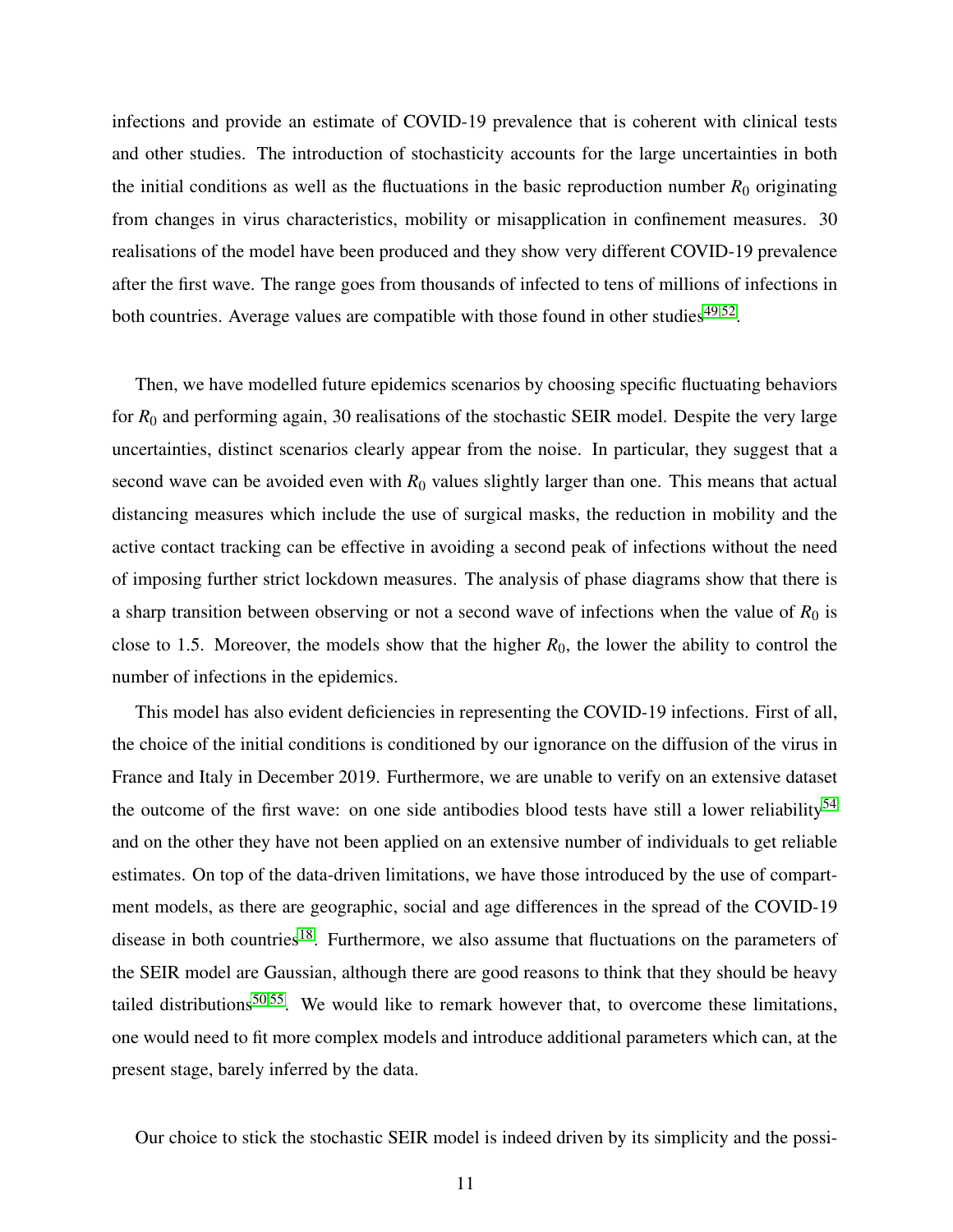infections and provide an estimate of COVID-19 prevalence that is coherent with clinical tests and other studies. The introduction of stochasticity accounts for the large uncertainties in both the initial conditions as well as the fluctuations in the basic reproduction number  $R_0$  originating from changes in virus characteristics, mobility or misapplication in confinement measures. 30 realisations of the model have been produced and they show very different COVID-19 prevalence after the first wave. The range goes from thousands of infected to tens of millions of infections in both countries. Average values are compatible with those found in other studies $49,52$  $49,52$ .

Then, we have modelled future epidemics scenarios by choosing specific fluctuating behaviors for *R*<sup>0</sup> and performing again, 30 realisations of the stochastic SEIR model. Despite the very large uncertainties, distinct scenarios clearly appear from the noise. In particular, they suggest that a second wave can be avoided even with  $R_0$  values slightly larger than one. This means that actual distancing measures which include the use of surgical masks, the reduction in mobility and the active contact tracking can be effective in avoiding a second peak of infections without the need of imposing further strict lockdown measures. The analysis of phase diagrams show that there is a sharp transition between observing or not a second wave of infections when the value of  $R_0$  is close to 1.5. Moreover, the models show that the higher  $R_0$ , the lower the ability to control the number of infections in the epidemics.

This model has also evident deficiencies in representing the COVID-19 infections. First of all, the choice of the initial conditions is conditioned by our ignorance on the diffusion of the virus in France and Italy in December 2019. Furthermore, we are unable to verify on an extensive dataset the outcome of the first wave: on one side antibodies blood tests have still a lower reliability<sup>[54](#page-18-8)</sup> and on the other they have not been applied on an extensive number of individuals to get reliable estimates. On top of the data-driven limitations, we have those introduced by the use of compartment models, as there are geographic, social and age differences in the spread of the COVID-19 disease in both countries<sup>[18](#page-15-8)</sup>. Furthermore, we also assume that fluctuations on the parameters of the SEIR model are Gaussian, although there are good reasons to think that they should be heavy tailed distributions<sup>[50,](#page-18-4)[55](#page-18-9)</sup>. We would like to remark however that, to overcome these limitations, one would need to fit more complex models and introduce additional parameters which can, at the present stage, barely inferred by the data.

Our choice to stick the stochastic SEIR model is indeed driven by its simplicity and the possi-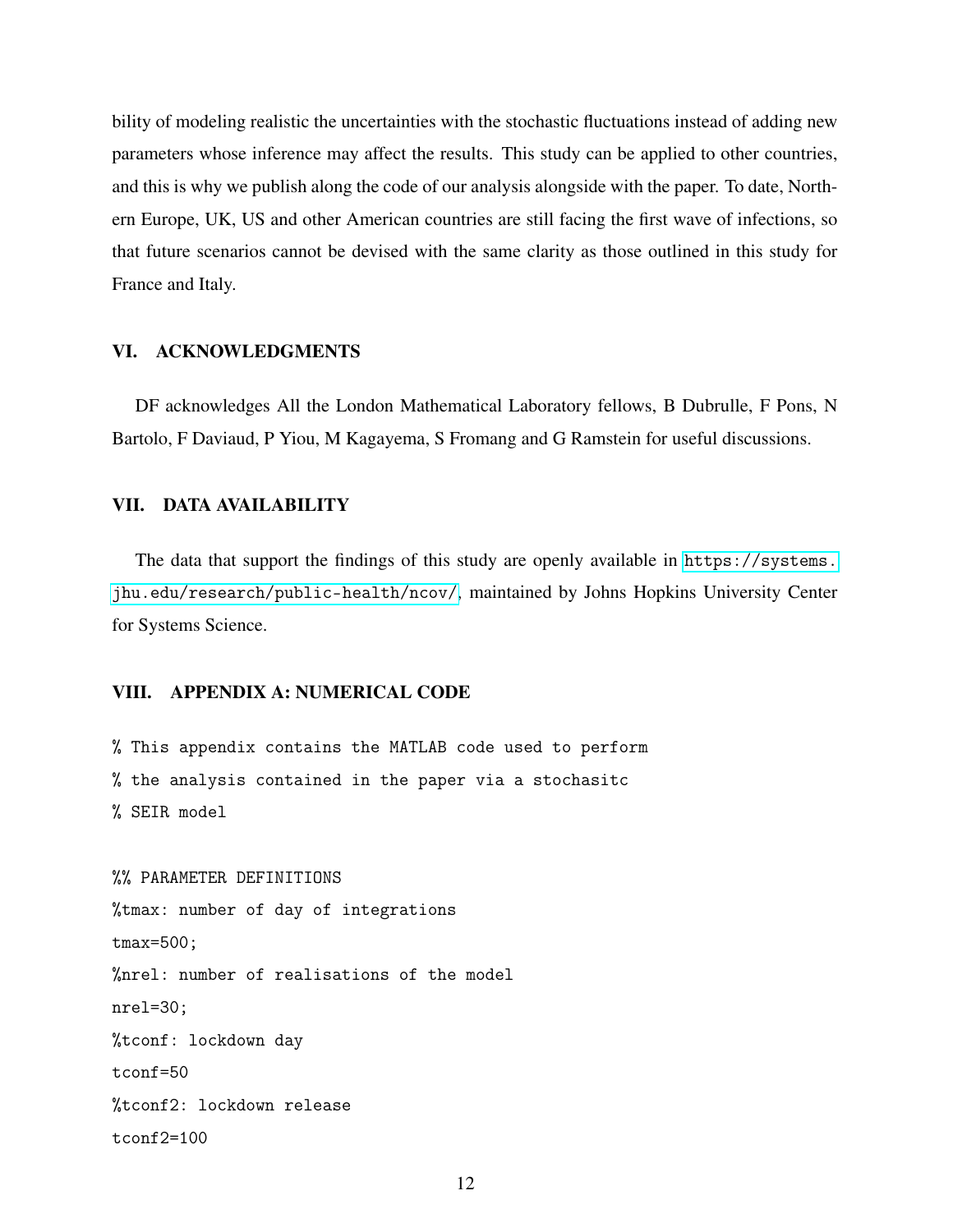bility of modeling realistic the uncertainties with the stochastic fluctuations instead of adding new parameters whose inference may affect the results. This study can be applied to other countries, and this is why we publish along the code of our analysis alongside with the paper. To date, Northern Europe, UK, US and other American countries are still facing the first wave of infections, so that future scenarios cannot be devised with the same clarity as those outlined in this study for France and Italy.

## VI. ACKNOWLEDGMENTS

DF acknowledges All the London Mathematical Laboratory fellows, B Dubrulle, F Pons, N Bartolo, F Daviaud, P Yiou, M Kagayema, S Fromang and G Ramstein for useful discussions.

## VII. DATA AVAILABILITY

The data that support the findings of this study are openly available in [https://systems.](https://systems.jhu.edu/research/public-health/ncov/) [jhu.edu/research/public-health/ncov/](https://systems.jhu.edu/research/public-health/ncov/), maintained by Johns Hopkins University Center for Systems Science.

## VIII. APPENDIX A: NUMERICAL CODE

% This appendix contains the MATLAB code used to perform % the analysis contained in the paper via a stochasitc % SEIR model

%% PARAMETER DEFINITIONS %tmax: number of day of integrations tmax=500; %nrel: number of realisations of the model nrel=30; %tconf: lockdown day  $t$ conf=50 %tconf2: lockdown release tconf2=100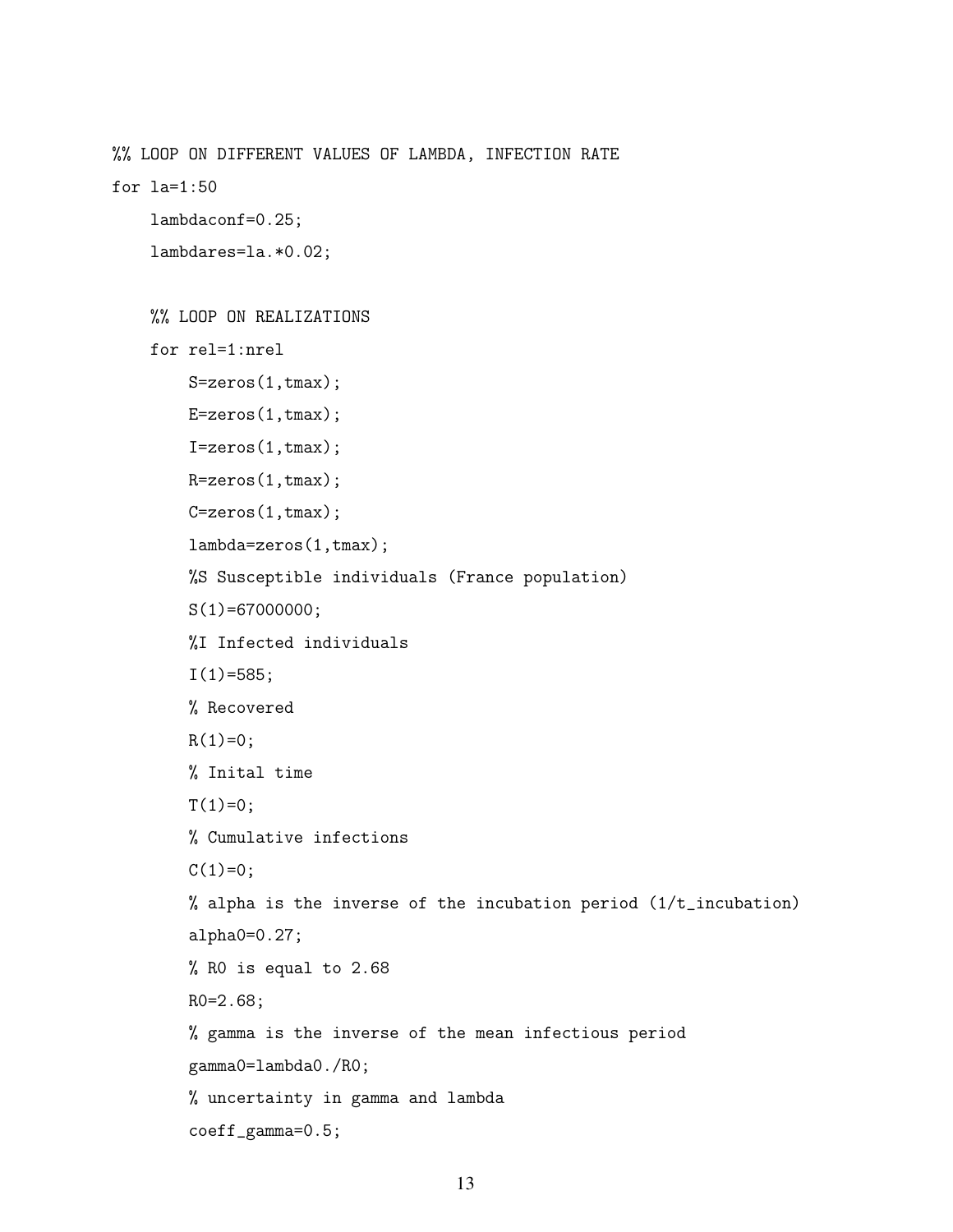%% LOOP ON DIFFERENT VALUES OF LAMBDA, INFECTION RATE

for la=1:50

```
lambdaconf=0.25;
```
lambdares=la.\*0.02;

```
%% LOOP ON REALIZATIONS
for rel=1:nrel
   S=zeros(1,tmax);
   E=zeros(1,tmax);
   I=zeros(1,tmax);
   R=zeros(1,tmax);
   C=zeros(1,tmax);
   lambda=zeros(1,tmax);
   %S Susceptible individuals (France population)
   S(1)=67000000;%I Infected individuals
   I(1)=585;% Recovered
   R(1)=0:
   % Inital time
   T(1)=0;% Cumulative infections
   C(1)=0;% alpha is the inverse of the incubation period (1/t_incubation)
   alpha0=0.27;
   % R0 is equal to 2.68
   R0=2.68;
   % gamma is the inverse of the mean infectious period
   gamma0=lambda0./R0;
   % uncertainty in gamma and lambda
   coeff_gamma=0.5;
```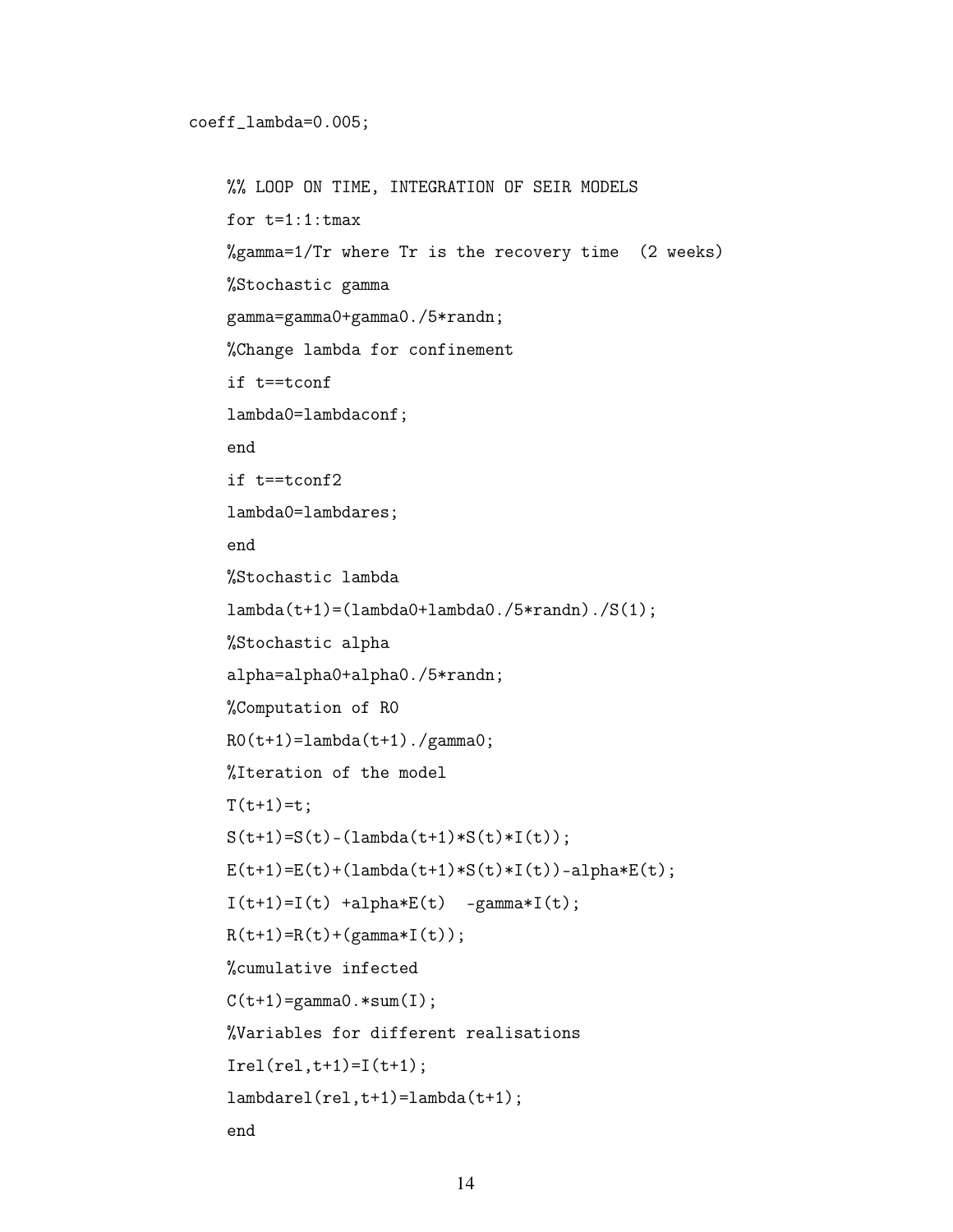```
%% LOOP ON TIME, INTEGRATION OF SEIR MODELS
for t=1:1:tmax%gamma=1/Tr where Tr is the recovery time (2 weeks)
%Stochastic gamma
gamma=gamma0+gamma0./5*randn;
%Change lambda for confinement
if t==tconf
lambda0=lambdaconf;
end
if t==tconf2
lambda0=lambdares;
end
%Stochastic lambda
lambda(t+1) = (lambda0 + lambda0./5*randn)./S(1);
%Stochastic alpha
alpha=alpha0+alpha0./5*randn;
%Computation of R0
R0(t+1)=lambda(t+1)./gamma0;
%Iteration of the model
T(t+1)=t:
S(t+1)=S(t) - (lambda(t+1)*S(t)*I(t));E(t+1)=E(t)+(1ambda(t+1)*S(t)*I(t))-alpha*E(t);I(t+1)=I(t) +alpha*E(t) -gamma*I(t);R(t+1)=R(t)+(gamma*1(t));%cumulative infected
C(t+1)=gamma0.*sum(I);%Variables for different realisations
Irel(rel, t+1)=I(t+1);lambdarel(rel,t+1)=lambda(t+1);
end
```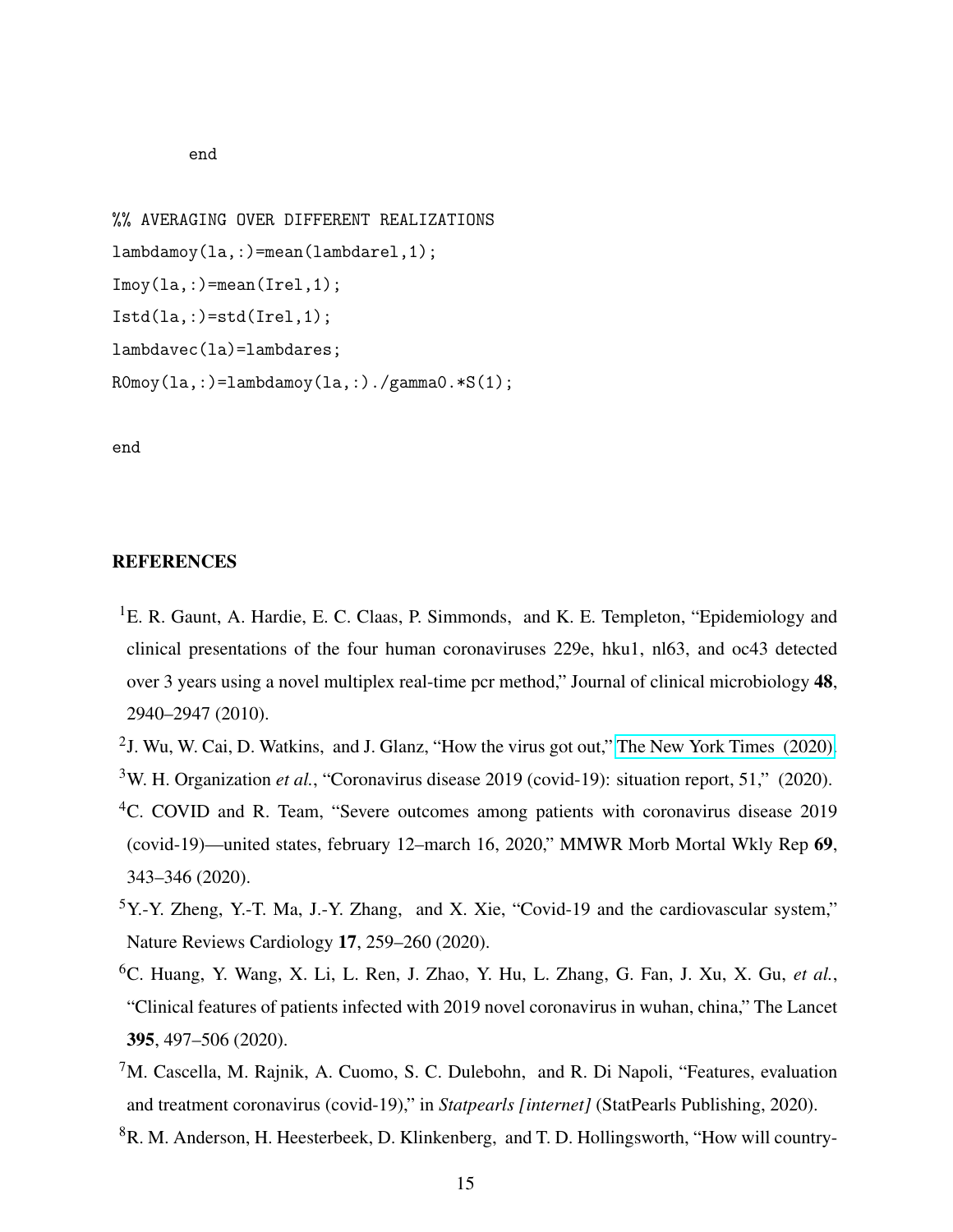#### end

%% AVERAGING OVER DIFFERENT REALIZATIONS lambdamoy(la,:)=mean(lambdarel,1);  $Imoy(1a,:) = mean(Irel,1);$  $Istd(la,:) = std(Irel,1);$ lambdavec(la)=lambdares; R0moy(la,:)=lambdamoy(la,:)./gamma0.\*S(1);

end

## **REFERENCES**

- <span id="page-14-0"></span><sup>1</sup>E. R. Gaunt, A. Hardie, E. C. Claas, P. Simmonds, and K. E. Templeton, "Epidemiology and clinical presentations of the four human coronaviruses 229e, hku1, nl63, and oc43 detected over 3 years using a novel multiplex real-time pcr method," Journal of clinical microbiology 48, 2940–2947 (2010).
- <span id="page-14-2"></span><span id="page-14-1"></span><sup>2</sup>J. Wu, W. Cai, D. Watkins, and J. Glanz, "How the virus got out," The New York Times  $(2020)$ . <sup>3</sup>W. H. Organization *et al.*, "Coronavirus disease 2019 (covid-19): situation report, 51," (2020).
- <span id="page-14-3"></span><sup>4</sup>C. COVID and R. Team, "Severe outcomes among patients with coronavirus disease 2019 (covid-19)—united states, february 12–march 16, 2020," MMWR Morb Mortal Wkly Rep 69, 343–346 (2020).
- <span id="page-14-4"></span><sup>5</sup>Y.-Y. Zheng, Y.-T. Ma, J.-Y. Zhang, and X. Xie, "Covid-19 and the cardiovascular system," Nature Reviews Cardiology 17, 259–260 (2020).
- <span id="page-14-5"></span><sup>6</sup>C. Huang, Y. Wang, X. Li, L. Ren, J. Zhao, Y. Hu, L. Zhang, G. Fan, J. Xu, X. Gu, *et al.*, "Clinical features of patients infected with 2019 novel coronavirus in wuhan, china," The Lancet 395, 497–506 (2020).
- <span id="page-14-6"></span><sup>7</sup>M. Cascella, M. Rajnik, A. Cuomo, S. C. Dulebohn, and R. Di Napoli, "Features, evaluation and treatment coronavirus (covid-19)," in *Statpearls [internet]* (StatPearls Publishing, 2020).
- <span id="page-14-7"></span><sup>8</sup>R. M. Anderson, H. Heesterbeek, D. Klinkenberg, and T. D. Hollingsworth, "How will country-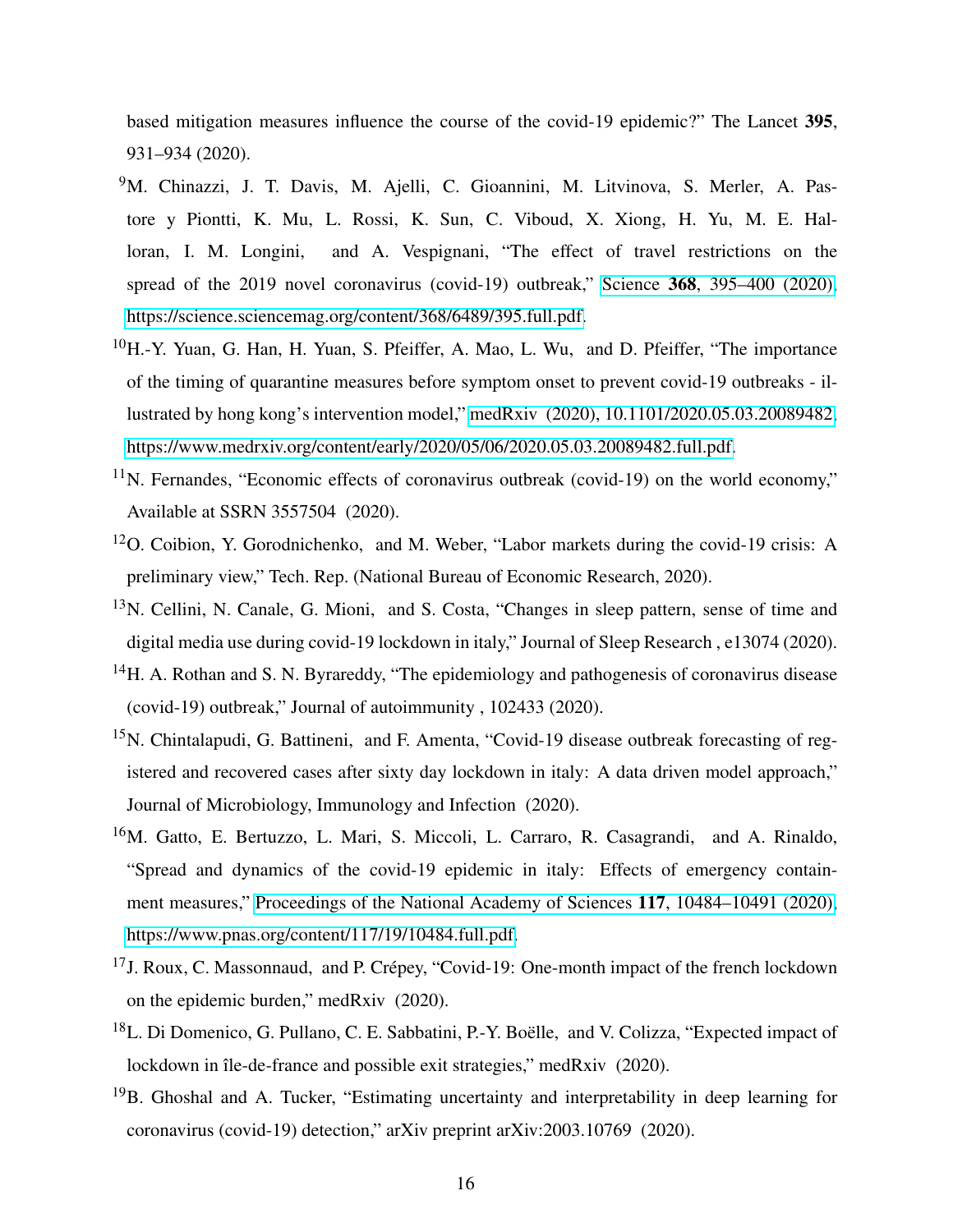based mitigation measures influence the course of the covid-19 epidemic?" The Lancet 395, 931–934 (2020).

- <sup>9</sup>M. Chinazzi, J. T. Davis, M. Ajelli, C. Gioannini, M. Litvinova, S. Merler, A. Pastore y Piontti, K. Mu, L. Rossi, K. Sun, C. Viboud, X. Xiong, H. Yu, M. E. Halloran, I. M. Longini, and A. Vespignani, "The effect of travel restrictions on the spread of the 2019 novel coronavirus (covid-19) outbreak," Science 368[, 395–400 \(2020\),](http://dx.doi.org/10.1126/science.aba9757) [https://science.sciencemag.org/content/368/6489/395.full.pdf.](http://arxiv.org/abs/https://science.sciencemag.org/content/368/6489/395.full.pdf)
- <span id="page-15-0"></span><sup>10</sup>H.-Y. Yuan, G. Han, H. Yuan, S. Pfeiffer, A. Mao, L. Wu, and D. Pfeiffer, "The importance of the timing of quarantine measures before symptom onset to prevent covid-19 outbreaks - illustrated by hong kong's intervention model," [medRxiv \(2020\), 10.1101/2020.05.03.20089482,](http://dx.doi.org/ 10.1101/2020.05.03.20089482) [https://www.medrxiv.org/content/early/2020/05/06/2020.05.03.20089482.full.pdf.](http://arxiv.org/abs/https://www.medrxiv.org/content/early/2020/05/06/2020.05.03.20089482.full.pdf)
- <span id="page-15-1"></span> $11$ N. Fernandes, "Economic effects of coronavirus outbreak (covid-19) on the world economy," Available at SSRN 3557504 (2020).
- <span id="page-15-2"></span><sup>12</sup>O. Coibion, Y. Gorodnichenko, and M. Weber, "Labor markets during the covid-19 crisis: A preliminary view," Tech. Rep. (National Bureau of Economic Research, 2020).
- <span id="page-15-3"></span><sup>13</sup>N. Cellini, N. Canale, G. Mioni, and S. Costa, "Changes in sleep pattern, sense of time and digital media use during covid-19 lockdown in italy," Journal of Sleep Research , e13074 (2020).
- <span id="page-15-4"></span><sup>14</sup>H. A. Rothan and S. N. Byrareddy, "The epidemiology and pathogenesis of coronavirus disease (covid-19) outbreak," Journal of autoimmunity , 102433 (2020).
- <span id="page-15-5"></span><sup>15</sup>N. Chintalapudi, G. Battineni, and F. Amenta, "Covid-19 disease outbreak forecasting of registered and recovered cases after sixty day lockdown in italy: A data driven model approach," Journal of Microbiology, Immunology and Infection (2020).
- <span id="page-15-6"></span><sup>16</sup>M. Gatto, E. Bertuzzo, L. Mari, S. Miccoli, L. Carraro, R. Casagrandi, and A. Rinaldo, "Spread and dynamics of the covid-19 epidemic in italy: Effects of emergency containment measures," [Proceedings of the National Academy of Sciences](http://dx.doi.org/10.1073/pnas.2004978117) 117, 10484–10491 (2020), [https://www.pnas.org/content/117/19/10484.full.pdf.](http://arxiv.org/abs/https://www.pnas.org/content/117/19/10484.full.pdf)
- <span id="page-15-7"></span><sup>17</sup>J. Roux, C. Massonnaud, and P. Crépey, "Covid-19: One-month impact of the french lockdown on the epidemic burden," medRxiv (2020).
- <span id="page-15-8"></span><sup>18</sup>L. Di Domenico, G. Pullano, C. E. Sabbatini, P.-Y. Boëlle, and V. Colizza, "Expected impact of lockdown in île-de-france and possible exit strategies," medRxiv (2020).
- <span id="page-15-9"></span> $19B$ . Ghoshal and A. Tucker, "Estimating uncertainty and interpretability in deep learning for coronavirus (covid-19) detection," arXiv preprint arXiv:2003.10769 (2020).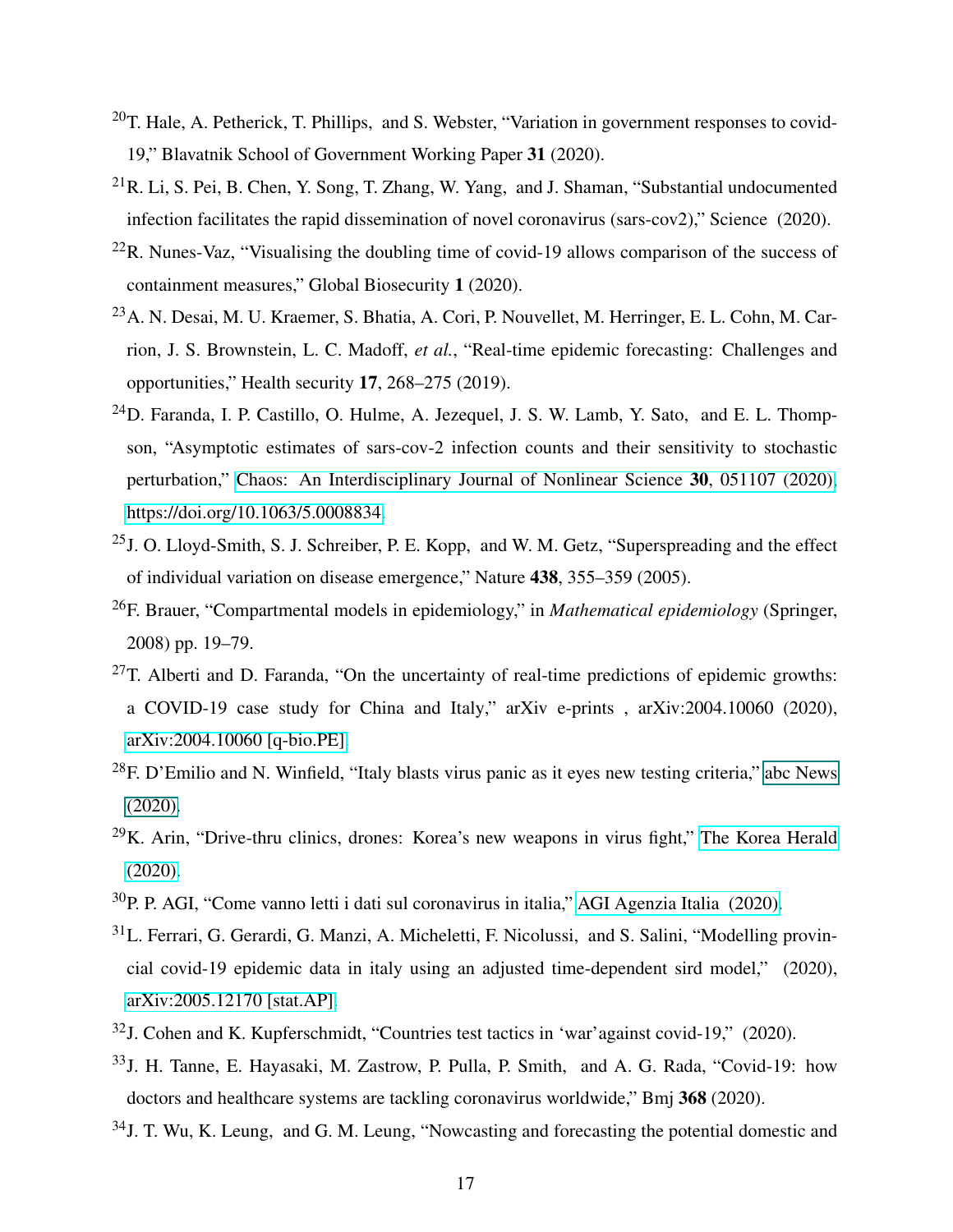- <span id="page-16-0"></span> $20$ T. Hale, A. Petherick, T. Phillips, and S. Webster, "Variation in government responses to covid-19," Blavatnik School of Government Working Paper 31 (2020).
- <span id="page-16-1"></span> $^{21}R$ . Li, S. Pei, B. Chen, Y. Song, T. Zhang, W. Yang, and J. Shaman, "Substantial undocumented infection facilitates the rapid dissemination of novel coronavirus (sars-cov2)," Science (2020).
- <span id="page-16-2"></span> $^{22}$ R. Nunes-Vaz, "Visualising the doubling time of covid-19 allows comparison of the success of containment measures," Global Biosecurity 1 (2020).
- <span id="page-16-3"></span><sup>23</sup>A. N. Desai, M. U. Kraemer, S. Bhatia, A. Cori, P. Nouvellet, M. Herringer, E. L. Cohn, M. Carrion, J. S. Brownstein, L. C. Madoff, *et al.*, "Real-time epidemic forecasting: Challenges and opportunities," Health security 17, 268–275 (2019).
- <span id="page-16-4"></span><sup>24</sup>D. Faranda, I. P. Castillo, O. Hulme, A. Jezequel, J. S. W. Lamb, Y. Sato, and E. L. Thompson, "Asymptotic estimates of sars-cov-2 infection counts and their sensitivity to stochastic perturbation," [Chaos: An Interdisciplinary Journal of Nonlinear Science](http://dx.doi.org/ 10.1063/5.0008834) 30, 051107 (2020), [https://doi.org/10.1063/5.0008834.](http://arxiv.org/abs/https://doi.org/10.1063/5.0008834)
- <span id="page-16-5"></span><sup>25</sup>J. O. Lloyd-Smith, S. J. Schreiber, P. E. Kopp, and W. M. Getz, "Superspreading and the effect of individual variation on disease emergence," Nature 438, 355–359 (2005).
- <span id="page-16-6"></span><sup>26</sup>F. Brauer, "Compartmental models in epidemiology," in *Mathematical epidemiology* (Springer, 2008) pp. 19–79.
- <span id="page-16-7"></span> $27$ T. Alberti and D. Faranda, "On the uncertainty of real-time predictions of epidemic growths: a COVID-19 case study for China and Italy," arXiv e-prints , arXiv:2004.10060 (2020), [arXiv:2004.10060 \[q-bio.PE\].](http://arxiv.org/abs/2004.10060)
- <span id="page-16-8"></span> $^{28}$ F. D'Emilio and N. Winfield, "Italy blasts virus panic as it eyes new testing criteria," [abc News](#page-0-1) [\(2020\).](#page-0-1)
- <span id="page-16-9"></span> $29K$ . Arin, "Drive-thru clinics, drones: Korea's new weapons in virus fight," [The Korea Herald](http://www.koreaherald.com/view.php?ud=20200227000901) [\(2020\).](http://www.koreaherald.com/view.php?ud=20200227000901)
- <span id="page-16-10"></span> $30P$ , P. AGI, "Come vanno letti i dati sul coronavirus in italia," [AGI Agenzia Italia \(2020\).](https://www.agi.it/fact-checking/news/2020-03-12/coronavirus-bilancio-morti-contagi-guariti-dati-7447972/)
- <span id="page-16-11"></span><sup>31</sup>L. Ferrari, G. Gerardi, G. Manzi, A. Micheletti, F. Nicolussi, and S. Salini, "Modelling provincial covid-19 epidemic data in italy using an adjusted time-dependent sird model," (2020), [arXiv:2005.12170 \[stat.AP\].](http://arxiv.org/abs/2005.12170)
- <span id="page-16-12"></span><sup>32</sup>J. Cohen and K. Kupferschmidt, "Countries test tactics in 'war'against covid-19," (2020).
- <span id="page-16-13"></span><sup>33</sup>J. H. Tanne, E. Hayasaki, M. Zastrow, P. Pulla, P. Smith, and A. G. Rada, "Covid-19: how doctors and healthcare systems are tackling coronavirus worldwide," Bmj 368 (2020).
- <span id="page-16-14"></span><sup>34</sup>J. T. Wu, K. Leung, and G. M. Leung, "Nowcasting and forecasting the potential domestic and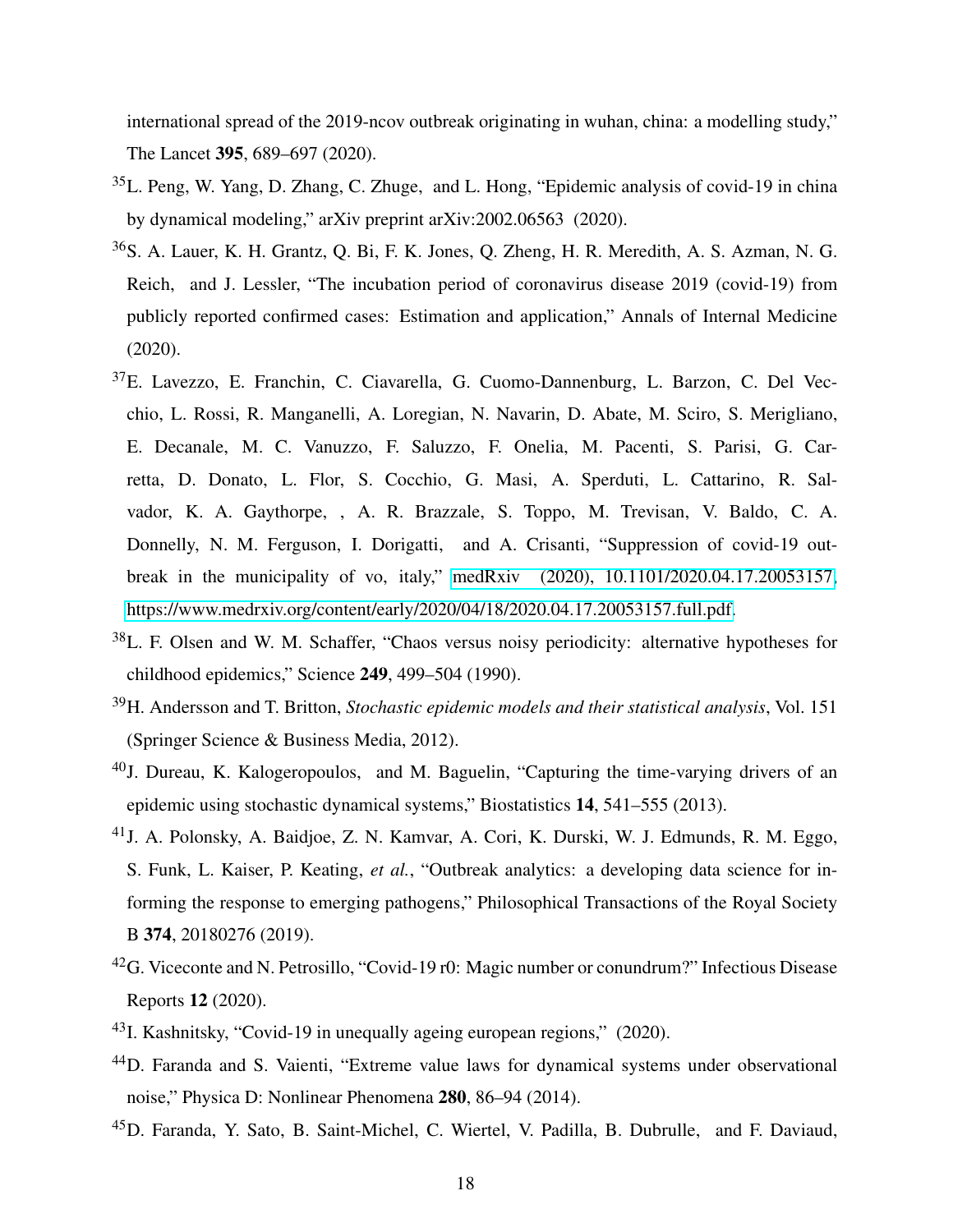international spread of the 2019-ncov outbreak originating in wuhan, china: a modelling study," The Lancet 395, 689–697 (2020).

- <span id="page-17-0"></span><sup>35</sup>L. Peng, W. Yang, D. Zhang, C. Zhuge, and L. Hong, "Epidemic analysis of covid-19 in china by dynamical modeling," arXiv preprint arXiv:2002.06563 (2020).
- <span id="page-17-1"></span><sup>36</sup>S. A. Lauer, K. H. Grantz, Q. Bi, F. K. Jones, Q. Zheng, H. R. Meredith, A. S. Azman, N. G. Reich, and J. Lessler, "The incubation period of coronavirus disease 2019 (covid-19) from publicly reported confirmed cases: Estimation and application," Annals of Internal Medicine (2020).
- <span id="page-17-2"></span><sup>37</sup>E. Lavezzo, E. Franchin, C. Ciavarella, G. Cuomo-Dannenburg, L. Barzon, C. Del Vecchio, L. Rossi, R. Manganelli, A. Loregian, N. Navarin, D. Abate, M. Sciro, S. Merigliano, E. Decanale, M. C. Vanuzzo, F. Saluzzo, F. Onelia, M. Pacenti, S. Parisi, G. Carretta, D. Donato, L. Flor, S. Cocchio, G. Masi, A. Sperduti, L. Cattarino, R. Salvador, K. A. Gaythorpe, , A. R. Brazzale, S. Toppo, M. Trevisan, V. Baldo, C. A. Donnelly, N. M. Ferguson, I. Dorigatti, and A. Crisanti, "Suppression of covid-19 outbreak in the municipality of vo, italy," [medRxiv \(2020\), 10.1101/2020.04.17.20053157,](http://dx.doi.org/ 10.1101/2020.04.17.20053157) [https://www.medrxiv.org/content/early/2020/04/18/2020.04.17.20053157.full.pdf.](http://arxiv.org/abs/https://www.medrxiv.org/content/early/2020/04/18/2020.04.17.20053157.full.pdf)
- <span id="page-17-3"></span><sup>38</sup>L. F. Olsen and W. M. Schaffer, "Chaos versus noisy periodicity: alternative hypotheses for childhood epidemics," Science 249, 499–504 (1990).
- <sup>39</sup>H. Andersson and T. Britton, *Stochastic epidemic models and their statistical analysis*, Vol. 151 (Springer Science & Business Media, 2012).
- <span id="page-17-4"></span><sup>40</sup>J. Dureau, K. Kalogeropoulos, and M. Baguelin, "Capturing the time-varying drivers of an epidemic using stochastic dynamical systems," Biostatistics 14, 541–555 (2013).
- <span id="page-17-5"></span><sup>41</sup>J. A. Polonsky, A. Baidjoe, Z. N. Kamvar, A. Cori, K. Durski, W. J. Edmunds, R. M. Eggo, S. Funk, L. Kaiser, P. Keating, *et al.*, "Outbreak analytics: a developing data science for informing the response to emerging pathogens," Philosophical Transactions of the Royal Society B 374, 20180276 (2019).
- <sup>42</sup>G. Viceconte and N. Petrosillo, "Covid-19 r0: Magic number or conundrum?" Infectious Disease Reports 12 (2020).
- <span id="page-17-6"></span> $^{43}$ I. Kashnitsky, "Covid-19 in unequally ageing european regions," (2020).
- <span id="page-17-7"></span><sup>44</sup>D. Faranda and S. Vaienti, "Extreme value laws for dynamical systems under observational noise," Physica D: Nonlinear Phenomena 280, 86–94 (2014).
- <span id="page-17-8"></span><sup>45</sup>D. Faranda, Y. Sato, B. Saint-Michel, C. Wiertel, V. Padilla, B. Dubrulle, and F. Daviaud,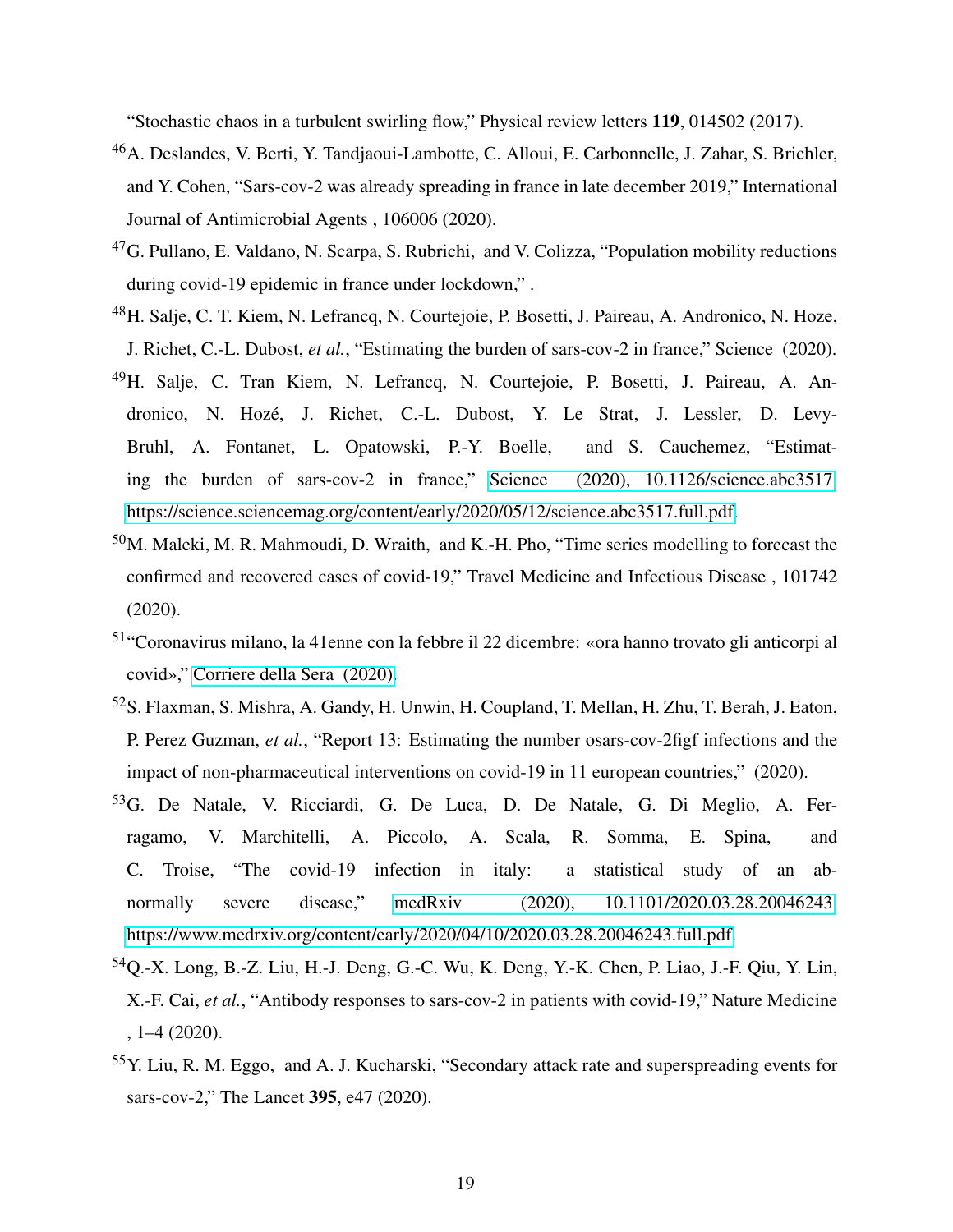"Stochastic chaos in a turbulent swirling flow," Physical review letters 119, 014502 (2017).

- <span id="page-18-0"></span><sup>46</sup>A. Deslandes, V. Berti, Y. Tandjaoui-Lambotte, C. Alloui, E. Carbonnelle, J. Zahar, S. Brichler, and Y. Cohen, "Sars-cov-2 was already spreading in france in late december 2019," International Journal of Antimicrobial Agents , 106006 (2020).
- <span id="page-18-1"></span> $^{47}$ G. Pullano, E. Valdano, N. Scarpa, S. Rubrichi, and V. Colizza, "Population mobility reductions during covid-19 epidemic in france under lockdown," .
- <span id="page-18-2"></span><sup>48</sup>H. Salje, C. T. Kiem, N. Lefrancq, N. Courtejoie, P. Bosetti, J. Paireau, A. Andronico, N. Hoze, J. Richet, C.-L. Dubost, *et al.*, "Estimating the burden of sars-cov-2 in france," Science (2020).
- <span id="page-18-3"></span><sup>49</sup>H. Salje, C. Tran Kiem, N. Lefrancq, N. Courtejoie, P. Bosetti, J. Paireau, A. Andronico, N. Hozé, J. Richet, C.-L. Dubost, Y. Le Strat, J. Lessler, D. Levy-Bruhl, A. Fontanet, L. Opatowski, P.-Y. Boelle, and S. Cauchemez, "Estimating the burden of sars-cov-2 in france," [Science \(2020\), 10.1126/science.abc3517,](http://dx.doi.org/10.1126/science.abc3517) [https://science.sciencemag.org/content/early/2020/05/12/science.abc3517.full.pdf.](http://arxiv.org/abs/https://science.sciencemag.org/content/early/2020/05/12/science.abc3517.full.pdf)
- <span id="page-18-4"></span><sup>50</sup>M. Maleki, M. R. Mahmoudi, D. Wraith, and K.-H. Pho, "Time series modelling to forecast the confirmed and recovered cases of covid-19," Travel Medicine and Infectious Disease , 101742 (2020).
- <span id="page-18-5"></span><sup>51</sup>"Coronavirus milano, la 41enne con la febbre il 22 dicembre: «ora hanno trovato gli anticorpi al covid»," [Corriere della Sera \(2020\).](https://milano.corriere.it/notizie/cronaca/20_aprile_30/coronavirus-milano-donna-febbre-22-dicembre-polmonite-atipica-primo-caso-ora-hanno-trovato-anticorpi-covid-373f1624-8a56-11ea-94d3-9879860c12b6.shtml)
- <span id="page-18-6"></span><sup>52</sup>S. Flaxman, S. Mishra, A. Gandy, H. Unwin, H. Coupland, T. Mellan, H. Zhu, T. Berah, J. Eaton, P. Perez Guzman, *et al.*, "Report 13: Estimating the number osars-cov-2figf infections and the impact of non-pharmaceutical interventions on covid-19 in 11 european countries," (2020).
- <span id="page-18-7"></span><sup>53</sup>G. De Natale, V. Ricciardi, G. De Luca, D. De Natale, G. Di Meglio, A. Ferragamo, V. Marchitelli, A. Piccolo, A. Scala, R. Somma, E. Spina, and C. Troise, "The covid-19 infection in italy: a statistical study of an abnormally severe disease," [medRxiv \(2020\), 10.1101/2020.03.28.20046243,](http://dx.doi.org/10.1101/2020.03.28.20046243) [https://www.medrxiv.org/content/early/2020/04/10/2020.03.28.20046243.full.pdf.](http://arxiv.org/abs/https://www.medrxiv.org/content/early/2020/04/10/2020.03.28.20046243.full.pdf)
- <span id="page-18-8"></span><sup>54</sup>Q.-X. Long, B.-Z. Liu, H.-J. Deng, G.-C. Wu, K. Deng, Y.-K. Chen, P. Liao, J.-F. Qiu, Y. Lin, X.-F. Cai, *et al.*, "Antibody responses to sars-cov-2 in patients with covid-19," Nature Medicine , 1–4 (2020).
- <span id="page-18-9"></span><sup>55</sup>Y. Liu, R. M. Eggo, and A. J. Kucharski, "Secondary attack rate and superspreading events for sars-cov-2," The Lancet 395, e47 (2020).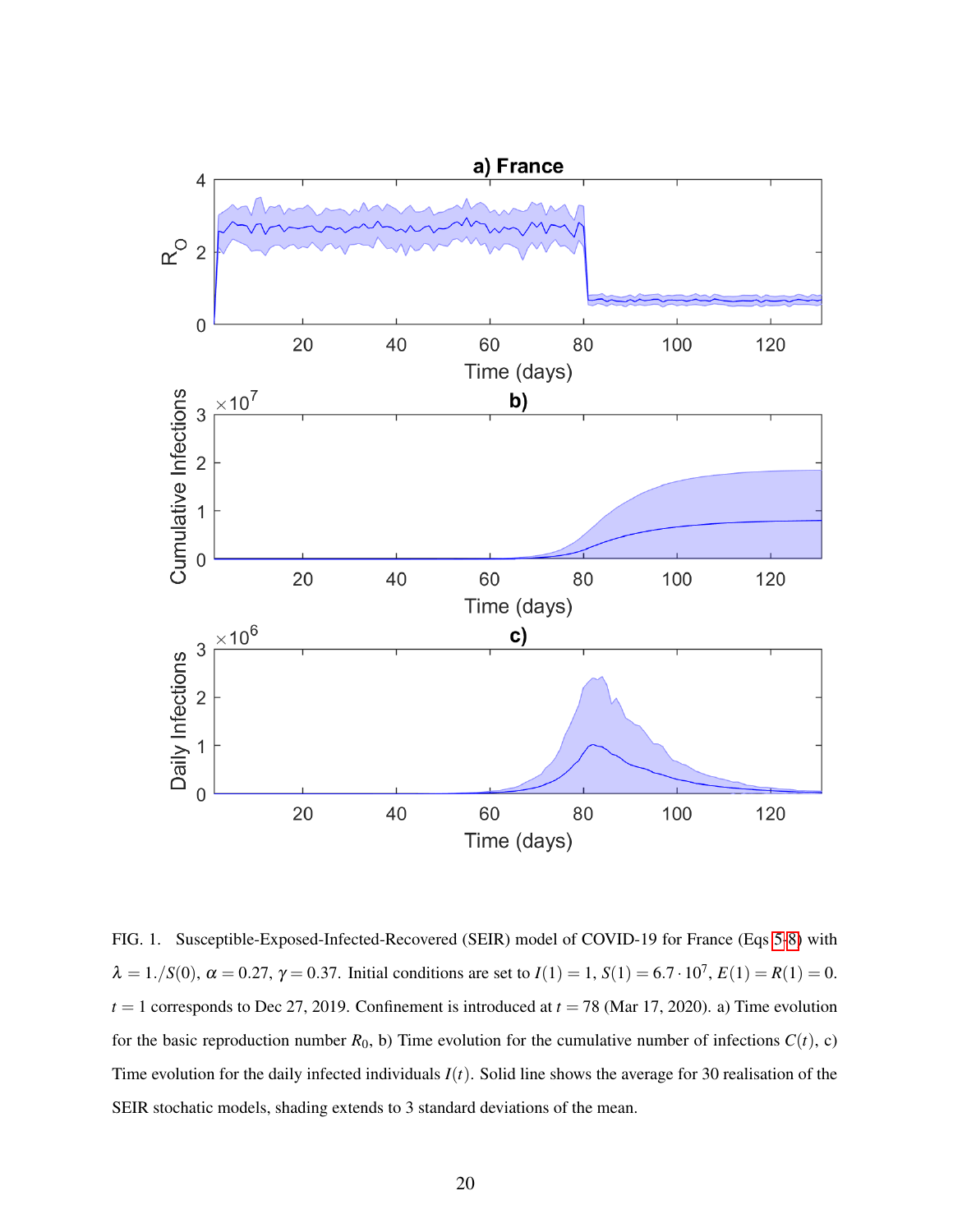

<span id="page-19-0"></span>FIG. 1. Susceptible-Exposed-Infected-Recovered (SEIR) model of COVID-19 for France (Eqs [5-8\)](#page-5-0) with  $\lambda = 1./S(0), \alpha = 0.27, \gamma = 0.37.$  Initial conditions are set to  $I(1) = 1, S(1) = 6.7 \cdot 10^7, E(1) = R(1) = 0.$  $t = 1$  corresponds to Dec 27, 2019. Confinement is introduced at  $t = 78$  (Mar 17, 2020). a) Time evolution for the basic reproduction number  $R_0$ , b) Time evolution for the cumulative number of infections  $C(t)$ , c) Time evolution for the daily infected individuals *I*(*t*). Solid line shows the average for 30 realisation of the SEIR stochatic models, shading extends to 3 standard deviations of the mean.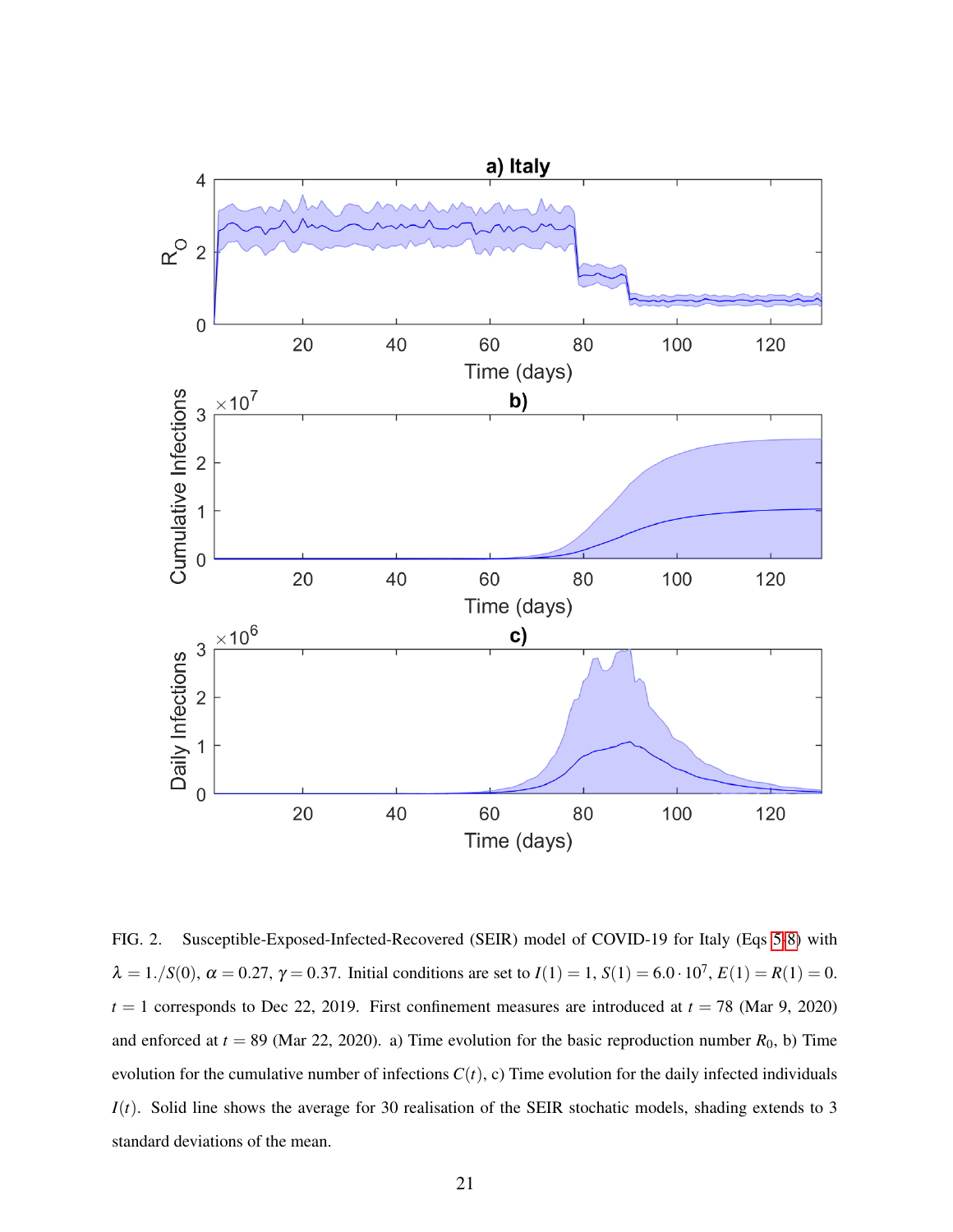

<span id="page-20-0"></span>FIG. 2. Susceptible-Exposed-Infected-Recovered (SEIR) model of COVID-19 for Italy (Eqs [5-8\)](#page-5-0) with  $\lambda = 1./S(0), \alpha = 0.27, \gamma = 0.37.$  Initial conditions are set to  $I(1) = 1, S(1) = 6.0 \cdot 10^7, E(1) = R(1) = 0.$  $t = 1$  corresponds to Dec 22, 2019. First confinement measures are introduced at  $t = 78$  (Mar 9, 2020) and enforced at  $t = 89$  (Mar 22, 2020). a) Time evolution for the basic reproduction number  $R_0$ , b) Time evolution for the cumulative number of infections  $C(t)$ , c) Time evolution for the daily infected individuals *I*(*t*). Solid line shows the average for 30 realisation of the SEIR stochatic models, shading extends to 3 standard deviations of the mean.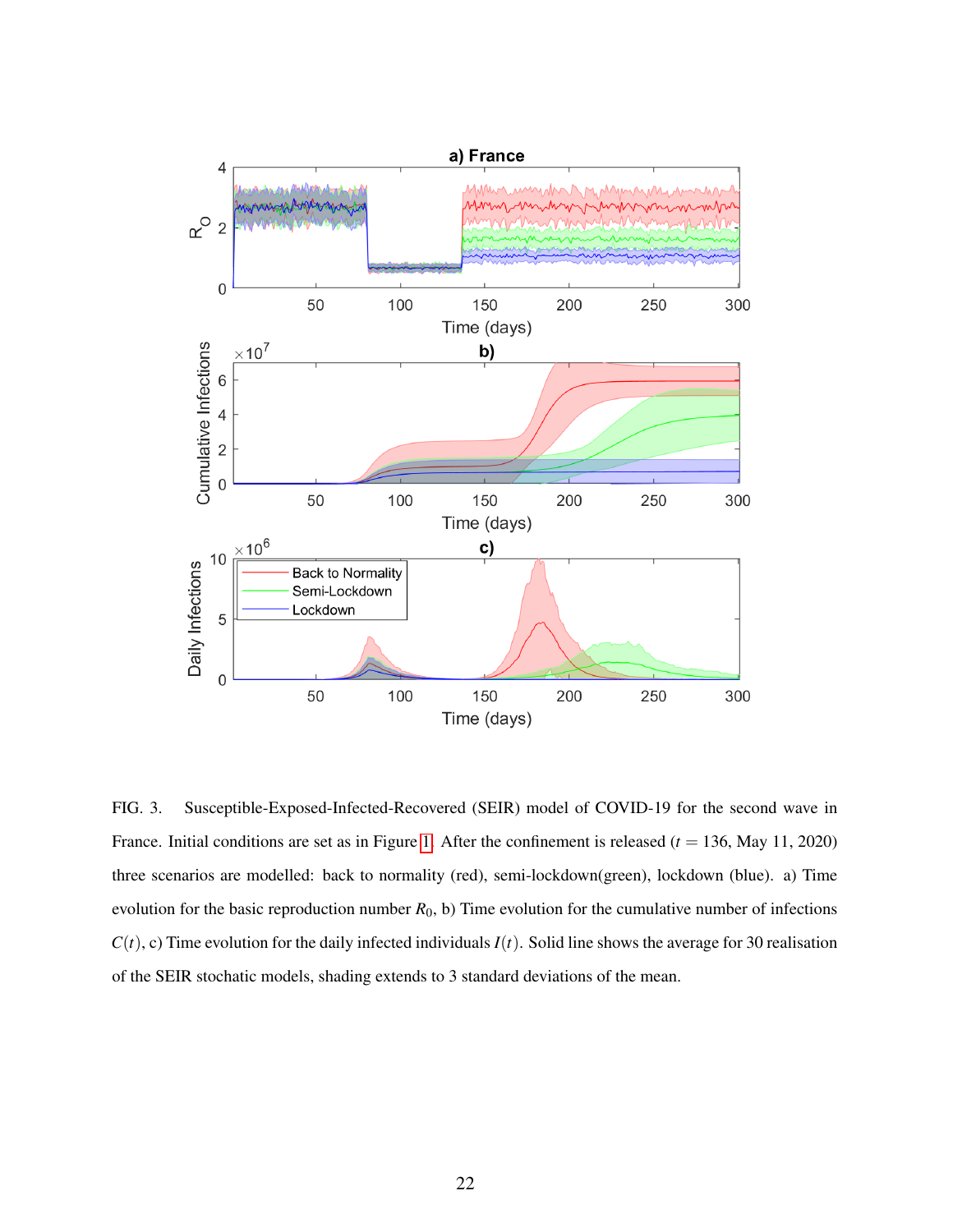

<span id="page-21-0"></span>FIG. 3. Susceptible-Exposed-Infected-Recovered (SEIR) model of COVID-19 for the second wave in France. Initial conditions are set as in Figure [1.](#page-19-0) After the confinement is released  $(t = 136, May 11, 2020)$ three scenarios are modelled: back to normality (red), semi-lockdown(green), lockdown (blue). a) Time evolution for the basic reproduction number *R*0, b) Time evolution for the cumulative number of infections  $C(t)$ , c) Time evolution for the daily infected individuals  $I(t)$ . Solid line shows the average for 30 realisation of the SEIR stochatic models, shading extends to 3 standard deviations of the mean.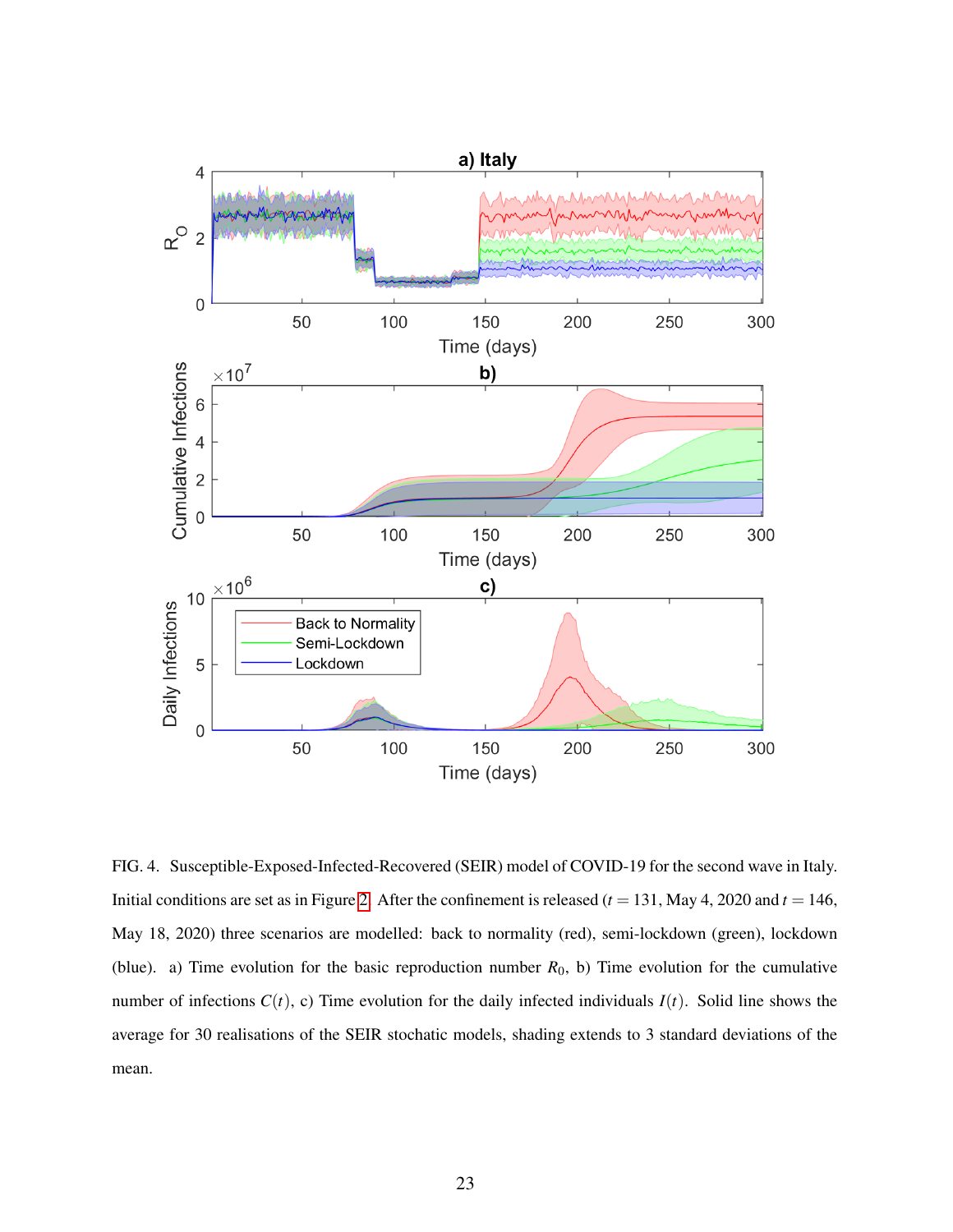

<span id="page-22-0"></span>FIG. 4. Susceptible-Exposed-Infected-Recovered (SEIR) model of COVID-19 for the second wave in Italy. Initial conditions are set as in Figure [2.](#page-20-0) After the confinement is released  $(t = 131,$  May 4, 2020 and  $t = 146$ , May 18, 2020) three scenarios are modelled: back to normality (red), semi-lockdown (green), lockdown (blue). a) Time evolution for the basic reproduction number  $R_0$ , b) Time evolution for the cumulative number of infections  $C(t)$ , c) Time evolution for the daily infected individuals  $I(t)$ . Solid line shows the average for 30 realisations of the SEIR stochatic models, shading extends to 3 standard deviations of the mean.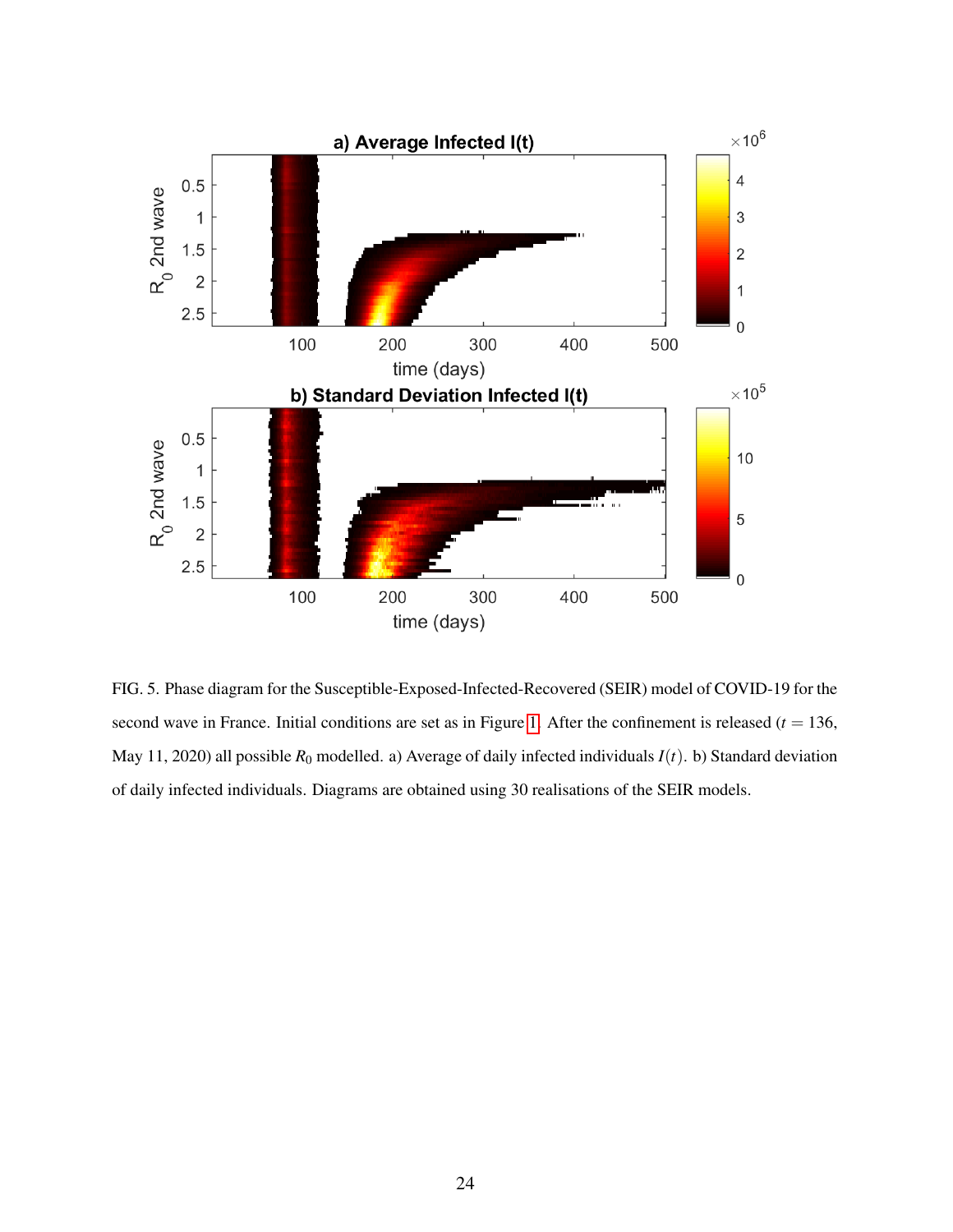

<span id="page-23-0"></span>FIG. 5. Phase diagram for the Susceptible-Exposed-Infected-Recovered (SEIR) model of COVID-19 for the second wave in France. Initial conditions are set as in Figure [1.](#page-19-0) After the confinement is released  $(t = 136,$ May 11, 2020) all possible  $R_0$  modelled. a) Average of daily infected individuals  $I(t)$ . b) Standard deviation of daily infected individuals. Diagrams are obtained using 30 realisations of the SEIR models.